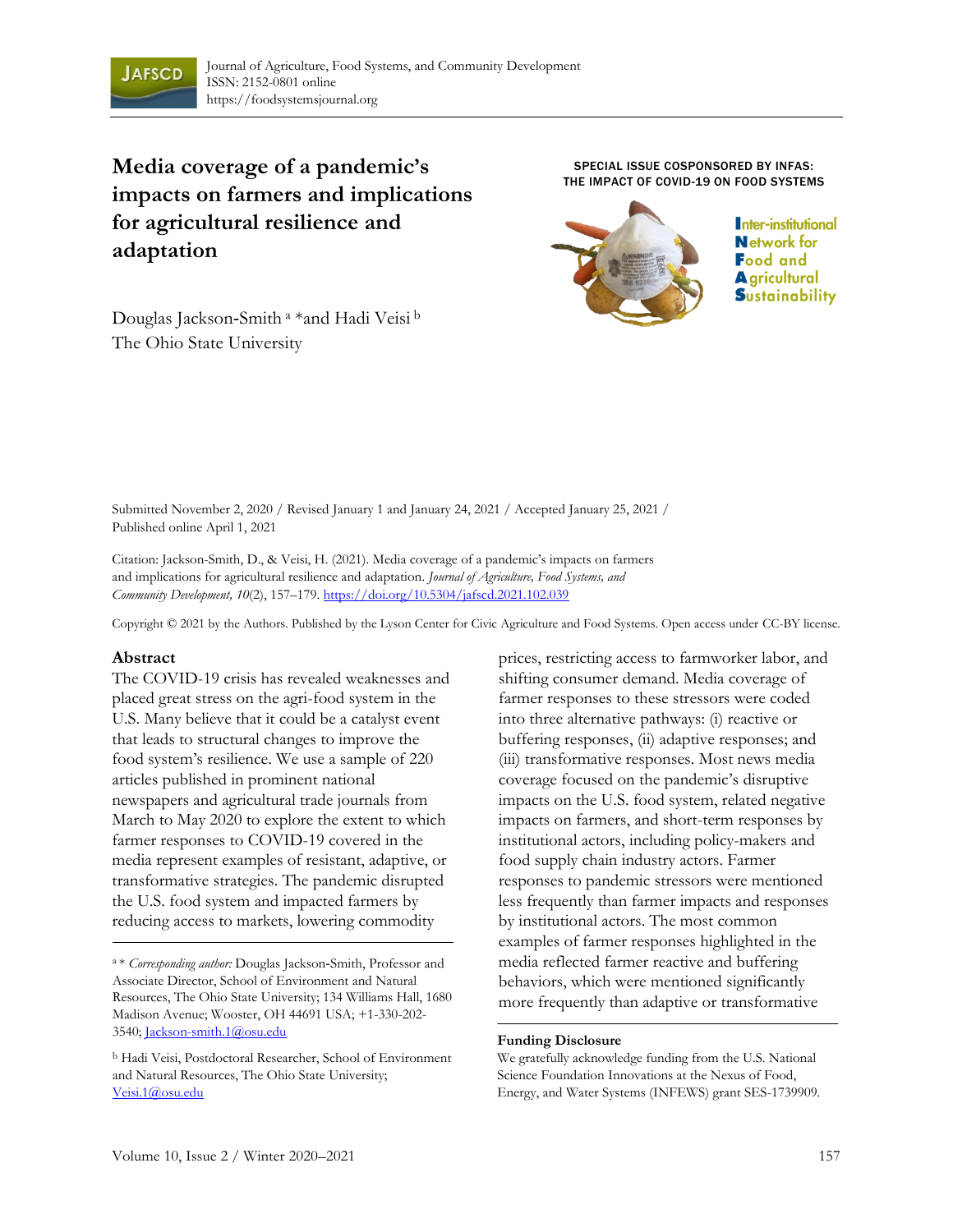

# **Media coverage of a pandemic's impacts on farmers and implications for agricultural resilience and adaptation**

SPECIAL ISSUE COSPONSORED BY INFAS: THE IMPACT OF COVID-19 ON FOOD SYSTEMS



Inter-institutional **Network for Food and A** gricultural **S**ustainability

Douglas Jackson‑Smith <sup>a</sup> \*and Hadi Veisi <sup>b</sup> The Ohio State University

Submitted November 2, 2020 / Revised January 1 and January 24, 2021 / Accepted January 25, 2021 / Published online April 1, 2021

Citation: Jackson-Smith, D., & Veisi, H. (2021). Media coverage of a pandemic's impacts on farmers and implications for agricultural resilience and adaptation. *Journal of Agriculture, Food Systems, and Community Development, 10*(2), 157–179. https://doi.org/10.5304/jafscd.2021.102.039

Copyright © 2021 by the Authors. Published by the Lyson Center for Civic Agriculture and Food Systems. Open access under CC-BY license.

#### **Abstract**

The COVID-19 crisis has revealed weaknesses and placed great stress on the agri-food system in the U.S. Many believe that it could be a catalyst event that leads to structural changes to improve the food system's resilience. We use a sample of 220 articles published in prominent national newspapers and agricultural trade journals from March to May 2020 to explore the extent to which farmer responses to COVID-19 covered in the media represent examples of resistant, adaptive, or transformative strategies. The pandemic disrupted the U.S. food system and impacted farmers by reducing access to markets, lowering commodity

prices, restricting access to farmworker labor, and shifting consumer demand. Media coverage of farmer responses to these stressors were coded into three alternative pathways: (i) reactive or buffering responses, (ii) adaptive responses; and (iii) transformative responses. Most news media coverage focused on the pandemic's disruptive impacts on the U.S. food system, related negative impacts on farmers, and short-term responses by institutional actors, including policy-makers and food supply chain industry actors. Farmer responses to pandemic stressors were mentioned less frequently than farmer impacts and responses by institutional actors. The most common examples of farmer responses highlighted in the media reflected farmer reactive and buffering behaviors, which were mentioned significantly more frequently than adaptive or transformative

#### **Funding Disclosure**

We gratefully acknowledge funding from the U.S. National Science Foundation Innovations at the Nexus of Food, Energy, and Water Systems (INFEWS) grant SES-1739909.

<sup>a</sup>\* *Corresponding author:* Douglas Jackson‑Smith, Professor and Associate Director, School of Environment and Natural Resources, The Ohio State University; 134 Williams Hall, 1680 Madison Avenue; Wooster, OH 44691 USA; +1-330-202- 3540; Jackson-smith.1@osu.edu

<sup>b</sup> Hadi Veisi, Postdoctoral Researcher, School of Environment and Natural Resources, The Ohio State University; Veisi.1@osu.edu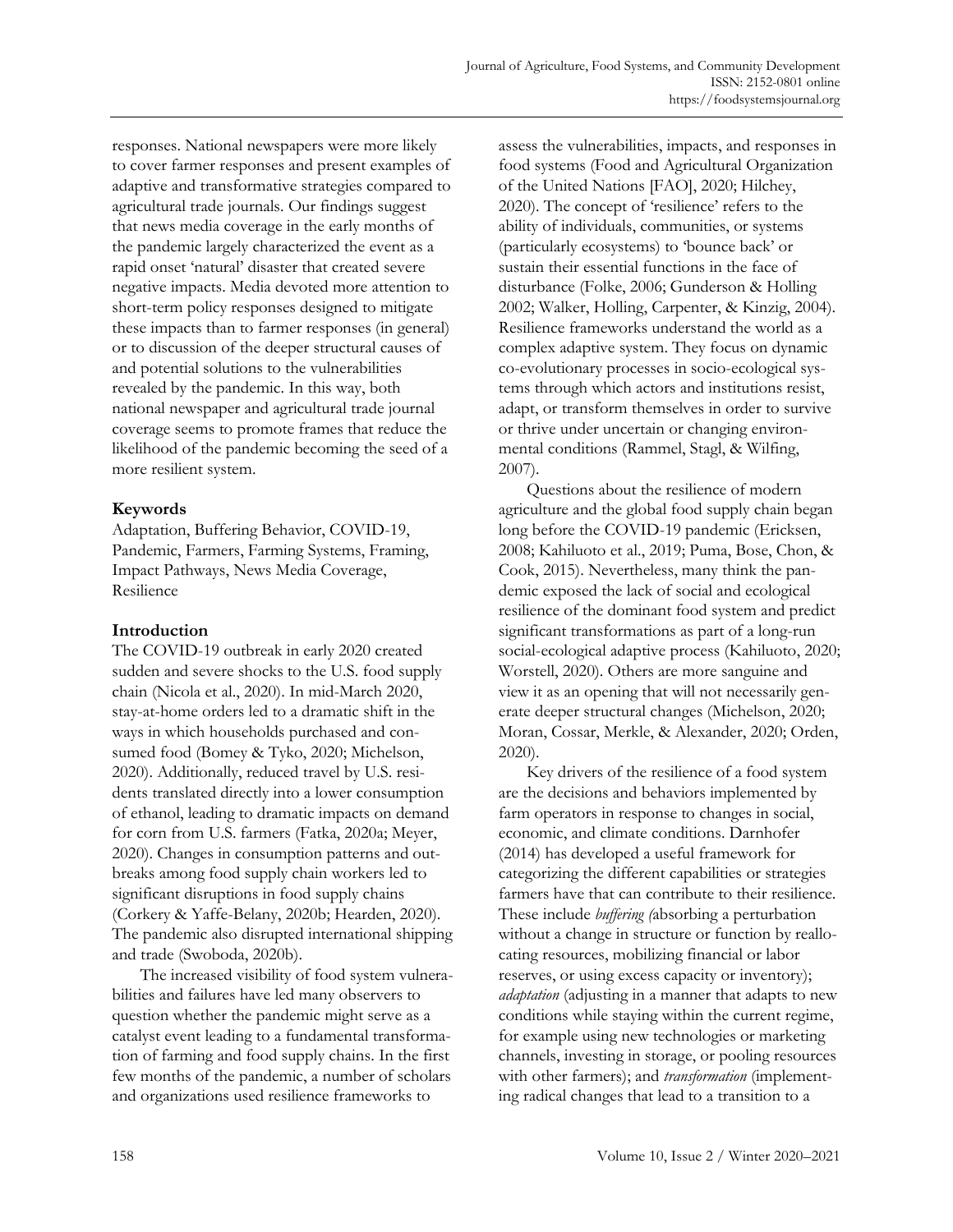responses. National newspapers were more likely to cover farmer responses and present examples of adaptive and transformative strategies compared to agricultural trade journals. Our findings suggest that news media coverage in the early months of the pandemic largely characterized the event as a rapid onset 'natural' disaster that created severe negative impacts. Media devoted more attention to short-term policy responses designed to mitigate these impacts than to farmer responses (in general) or to discussion of the deeper structural causes of and potential solutions to the vulnerabilities revealed by the pandemic. In this way, both national newspaper and agricultural trade journal coverage seems to promote frames that reduce the likelihood of the pandemic becoming the seed of a more resilient system.

### **Keywords**

Adaptation, Buffering Behavior, COVID-19, Pandemic, Farmers, Farming Systems, Framing, Impact Pathways, News Media Coverage, Resilience

#### **Introduction**

The COVID-19 outbreak in early 2020 created sudden and severe shocks to the U.S. food supply chain (Nicola et al., 2020). In mid-March 2020, stay-at-home orders led to a dramatic shift in the ways in which households purchased and consumed food (Bomey & Tyko, 2020; Michelson, 2020). Additionally, reduced travel by U.S. residents translated directly into a lower consumption of ethanol, leading to dramatic impacts on demand for corn from U.S. farmers (Fatka, 2020a; Meyer, 2020). Changes in consumption patterns and outbreaks among food supply chain workers led to significant disruptions in food supply chains (Corkery & Yaffe-Belany, 2020b; Hearden, 2020). The pandemic also disrupted international shipping and trade (Swoboda, 2020b).

The increased visibility of food system vulnerabilities and failures have led many observers to question whether the pandemic might serve as a catalyst event leading to a fundamental transformation of farming and food supply chains. In the first few months of the pandemic, a number of scholars and organizations used resilience frameworks to

assess the vulnerabilities, impacts, and responses in food systems (Food and Agricultural Organization of the United Nations [FAO], 2020; Hilchey, 2020). The concept of 'resilience' refers to the ability of individuals, communities, or systems (particularly ecosystems) to 'bounce back' or sustain their essential functions in the face of disturbance (Folke, 2006; Gunderson & Holling 2002; Walker, Holling, Carpenter, & Kinzig, 2004). Resilience frameworks understand the world as a complex adaptive system. They focus on dynamic co-evolutionary processes in socio-ecological systems through which actors and institutions resist, adapt, or transform themselves in order to survive or thrive under uncertain or changing environmental conditions (Rammel, Stagl, & Wilfing, 2007).

Questions about the resilience of modern agriculture and the global food supply chain began long before the COVID-19 pandemic (Ericksen, 2008; Kahiluoto et al., 2019; Puma, Bose, Chon, & Cook, 2015). Nevertheless, many think the pandemic exposed the lack of social and ecological resilience of the dominant food system and predict significant transformations as part of a long-run social-ecological adaptive process (Kahiluoto, 2020; Worstell, 2020). Others are more sanguine and view it as an opening that will not necessarily generate deeper structural changes (Michelson, 2020; Moran, Cossar, Merkle, & Alexander, 2020; Orden, 2020).

Key drivers of the resilience of a food system are the decisions and behaviors implemented by farm operators in response to changes in social, economic, and climate conditions. Darnhofer (2014) has developed a useful framework for categorizing the different capabilities or strategies farmers have that can contribute to their resilience. These include *buffering (*absorbing a perturbation without a change in structure or function by reallocating resources, mobilizing financial or labor reserves, or using excess capacity or inventory); *adaptation* (adjusting in a manner that adapts to new conditions while staying within the current regime, for example using new technologies or marketing channels, investing in storage, or pooling resources with other farmers); and *transformation* (implementing radical changes that lead to a transition to a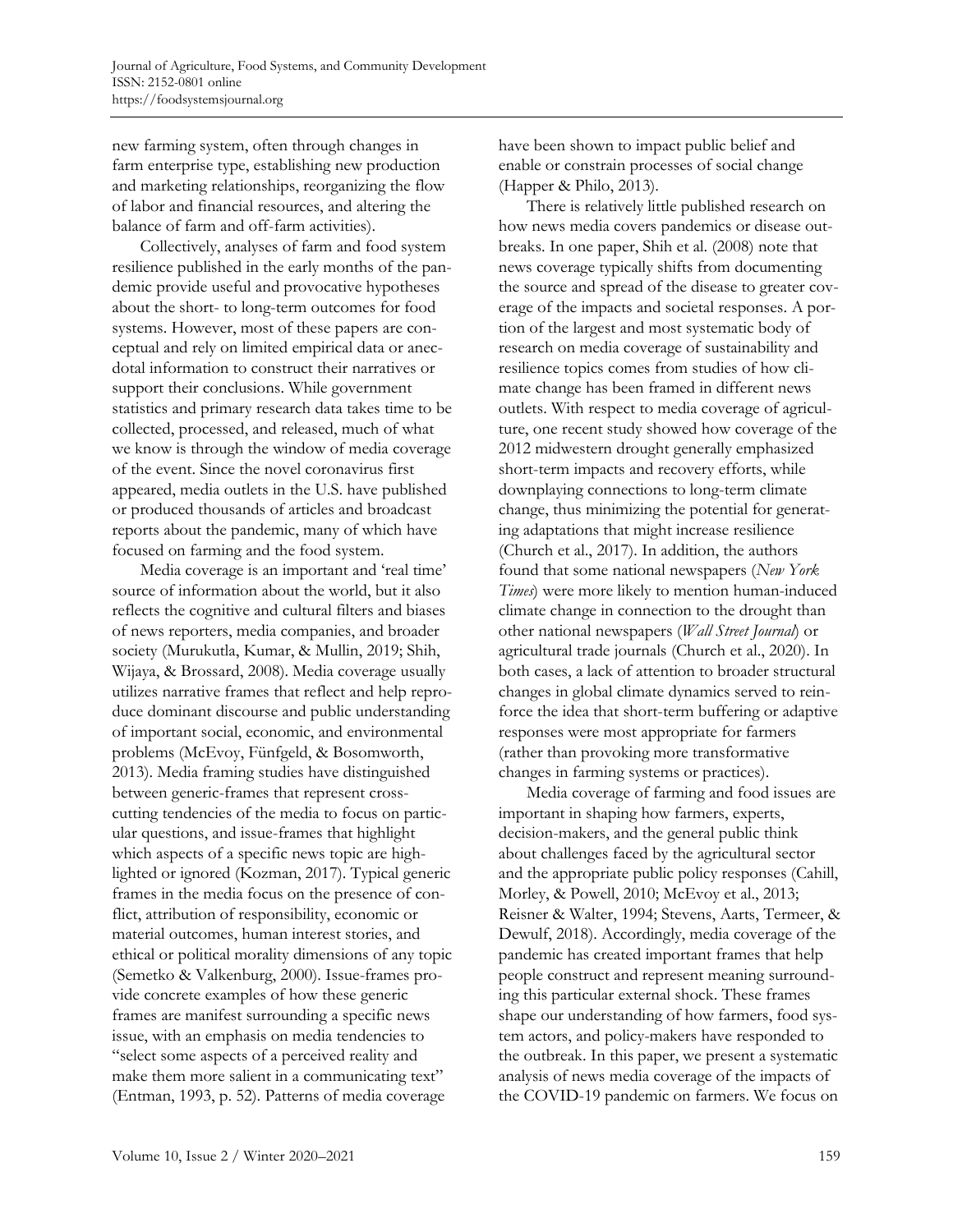new farming system, often through changes in farm enterprise type, establishing new production and marketing relationships, reorganizing the flow of labor and financial resources, and altering the balance of farm and off-farm activities).

Collectively, analyses of farm and food system resilience published in the early months of the pandemic provide useful and provocative hypotheses about the short- to long-term outcomes for food systems. However, most of these papers are conceptual and rely on limited empirical data or anecdotal information to construct their narratives or support their conclusions. While government statistics and primary research data takes time to be collected, processed, and released, much of what we know is through the window of media coverage of the event. Since the novel coronavirus first appeared, media outlets in the U.S. have published or produced thousands of articles and broadcast reports about the pandemic, many of which have focused on farming and the food system.

Media coverage is an important and 'real time' source of information about the world, but it also reflects the cognitive and cultural filters and biases of news reporters, media companies, and broader society (Murukutla, Kumar, & Mullin, 2019; Shih, Wijaya, & Brossard, 2008). Media coverage usually utilizes narrative frames that reflect and help reproduce dominant discourse and public understanding of important social, economic, and environmental problems (McEvoy, Fünfgeld, & Bosomworth, 2013). Media framing studies have distinguished between generic-frames that represent crosscutting tendencies of the media to focus on particular questions, and issue-frames that highlight which aspects of a specific news topic are highlighted or ignored (Kozman, 2017). Typical generic frames in the media focus on the presence of conflict, attribution of responsibility, economic or material outcomes, human interest stories, and ethical or political morality dimensions of any topic (Semetko & Valkenburg, 2000). Issue-frames provide concrete examples of how these generic frames are manifest surrounding a specific news issue, with an emphasis on media tendencies to "select some aspects of a perceived reality and make them more salient in a communicating text" (Entman, 1993, p. 52). Patterns of media coverage

have been shown to impact public belief and enable or constrain processes of social change (Happer & Philo, 2013).

There is relatively little published research on how news media covers pandemics or disease outbreaks. In one paper, Shih et al. (2008) note that news coverage typically shifts from documenting the source and spread of the disease to greater coverage of the impacts and societal responses. A portion of the largest and most systematic body of research on media coverage of sustainability and resilience topics comes from studies of how climate change has been framed in different news outlets. With respect to media coverage of agriculture, one recent study showed how coverage of the 2012 midwestern drought generally emphasized short-term impacts and recovery efforts, while downplaying connections to long-term climate change, thus minimizing the potential for generating adaptations that might increase resilience (Church et al., 2017). In addition, the authors found that some national newspapers (*New York Times*) were more likely to mention human-induced climate change in connection to the drought than other national newspapers (*Wall Street Journal*) or agricultural trade journals (Church et al., 2020). In both cases, a lack of attention to broader structural changes in global climate dynamics served to reinforce the idea that short-term buffering or adaptive responses were most appropriate for farmers (rather than provoking more transformative changes in farming systems or practices).

Media coverage of farming and food issues are important in shaping how farmers, experts, decision-makers, and the general public think about challenges faced by the agricultural sector and the appropriate public policy responses (Cahill, Morley, & Powell, 2010; McEvoy et al., 2013; Reisner & Walter, 1994; Stevens, Aarts, Termeer, & Dewulf, 2018). Accordingly, media coverage of the pandemic has created important frames that help people construct and represent meaning surrounding this particular external shock. These frames shape our understanding of how farmers, food system actors, and policy-makers have responded to the outbreak. In this paper, we present a systematic analysis of news media coverage of the impacts of the COVID-19 pandemic on farmers. We focus on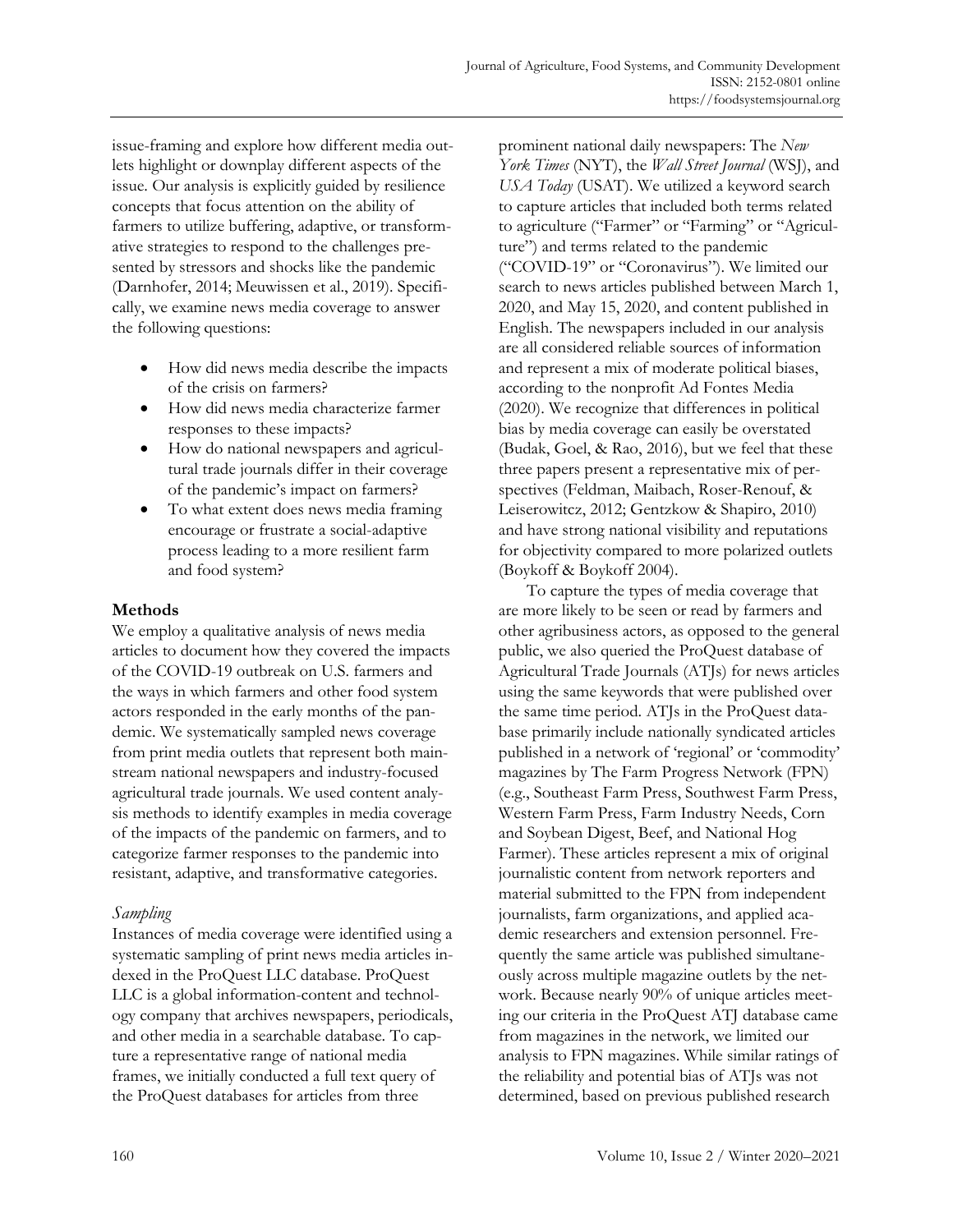issue-framing and explore how different media outlets highlight or downplay different aspects of the issue. Our analysis is explicitly guided by resilience concepts that focus attention on the ability of farmers to utilize buffering, adaptive, or transformative strategies to respond to the challenges presented by stressors and shocks like the pandemic (Darnhofer, 2014; Meuwissen et al., 2019). Specifically, we examine news media coverage to answer the following questions:

- How did news media describe the impacts of the crisis on farmers?
- How did news media characterize farmer responses to these impacts?
- How do national newspapers and agricultural trade journals differ in their coverage of the pandemic's impact on farmers?
- To what extent does news media framing encourage or frustrate a social-adaptive process leading to a more resilient farm and food system?

### **Methods**

We employ a qualitative analysis of news media articles to document how they covered the impacts of the COVID-19 outbreak on U.S. farmers and the ways in which farmers and other food system actors responded in the early months of the pandemic. We systematically sampled news coverage from print media outlets that represent both mainstream national newspapers and industry-focused agricultural trade journals. We used content analysis methods to identify examples in media coverage of the impacts of the pandemic on farmers, and to categorize farmer responses to the pandemic into resistant, adaptive, and transformative categories.

### *Sampling*

Instances of media coverage were identified using a systematic sampling of print news media articles indexed in the ProQuest LLC database. ProQuest LLC is a global information-content and technology company that archives newspapers, periodicals, and other media in a searchable database. To capture a representative range of national media frames, we initially conducted a full text query of the ProQuest databases for articles from three

prominent national daily newspapers: The *New York Times* (NYT), the *Wall Street Journal* (WSJ), and *USA Today* (USAT). We utilized a keyword search to capture articles that included both terms related to agriculture ("Farmer" or "Farming" or "Agriculture") and terms related to the pandemic ("COVID-19" or "Coronavirus"). We limited our search to news articles published between March 1, 2020, and May 15, 2020, and content published in English. The newspapers included in our analysis are all considered reliable sources of information and represent a mix of moderate political biases, according to the nonprofit Ad Fontes Media (2020). We recognize that differences in political bias by media coverage can easily be overstated (Budak, Goel, & Rao, 2016), but we feel that these three papers present a representative mix of perspectives (Feldman, Maibach, Roser-Renouf, & Leiserowitcz, 2012; Gentzkow & Shapiro, 2010) and have strong national visibility and reputations for objectivity compared to more polarized outlets (Boykoff & Boykoff 2004).

To capture the types of media coverage that are more likely to be seen or read by farmers and other agribusiness actors, as opposed to the general public, we also queried the ProQuest database of Agricultural Trade Journals (ATJs) for news articles using the same keywords that were published over the same time period. ATJs in the ProQuest database primarily include nationally syndicated articles published in a network of 'regional' or 'commodity' magazines by The Farm Progress Network (FPN) (e.g., Southeast Farm Press, Southwest Farm Press, Western Farm Press, Farm Industry Needs, Corn and Soybean Digest, Beef, and National Hog Farmer). These articles represent a mix of original journalistic content from network reporters and material submitted to the FPN from independent journalists, farm organizations, and applied academic researchers and extension personnel. Frequently the same article was published simultaneously across multiple magazine outlets by the network. Because nearly 90% of unique articles meeting our criteria in the ProQuest ATJ database came from magazines in the network, we limited our analysis to FPN magazines. While similar ratings of the reliability and potential bias of ATJs was not determined, based on previous published research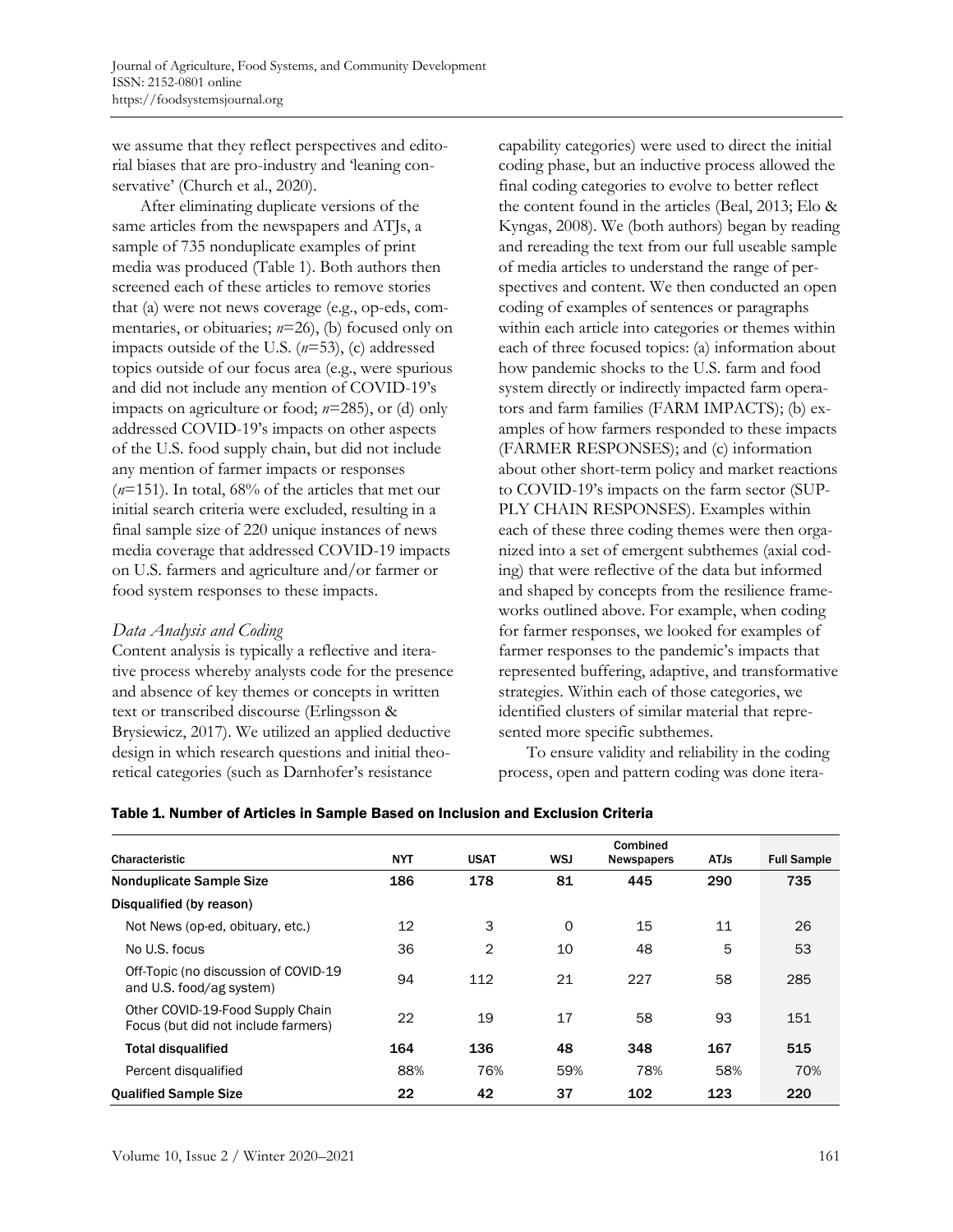we assume that they reflect perspectives and editorial biases that are pro-industry and 'leaning conservative' (Church et al., 2020).

After eliminating duplicate versions of the same articles from the newspapers and ATJs, a sample of 735 nonduplicate examples of print media was produced (Table 1). Both authors then screened each of these articles to remove stories that (a) were not news coverage (e.g., op-eds, commentaries, or obituaries;  $n=26$ ), (b) focused only on impacts outside of the U.S. (*n*=53), (c) addressed topics outside of our focus area (e.g., were spurious and did not include any mention of COVID-19's impacts on agriculture or food; *n*=285), or (d) only addressed COVID-19's impacts on other aspects of the U.S. food supply chain, but did not include any mention of farmer impacts or responses (*n*=151). In total, 68% of the articles that met our initial search criteria were excluded, resulting in a final sample size of 220 unique instances of news media coverage that addressed COVID-19 impacts on U.S. farmers and agriculture and/or farmer or food system responses to these impacts.

#### *Data Analysis and Coding*

Content analysis is typically a reflective and iterative process whereby analysts code for the presence and absence of key themes or concepts in written text or transcribed discourse (Erlingsson & Brysiewicz, 2017). We utilized an applied deductive design in which research questions and initial theoretical categories (such as Darnhofer's resistance

capability categories) were used to direct the initial coding phase, but an inductive process allowed the final coding categories to evolve to better reflect the content found in the articles (Beal, 2013; Elo & Kyngas, 2008). We (both authors) began by reading and rereading the text from our full useable sample of media articles to understand the range of perspectives and content. We then conducted an open coding of examples of sentences or paragraphs within each article into categories or themes within each of three focused topics: (a) information about how pandemic shocks to the U.S. farm and food system directly or indirectly impacted farm operators and farm families (FARM IMPACTS); (b) examples of how farmers responded to these impacts (FARMER RESPONSES); and (c) information about other short-term policy and market reactions to COVID-19's impacts on the farm sector (SUP-PLY CHAIN RESPONSES). Examples within each of these three coding themes were then organized into a set of emergent subthemes (axial coding) that were reflective of the data but informed and shaped by concepts from the resilience frameworks outlined above. For example, when coding for farmer responses, we looked for examples of farmer responses to the pandemic's impacts that represented buffering, adaptive, and transformative strategies. Within each of those categories, we identified clusters of similar material that represented more specific subthemes.

To ensure validity and reliability in the coding process, open and pattern coding was done itera-

| Table 1. Number of Articles in Sample Based on Inclusion and Exclusion Criteria |  |
|---------------------------------------------------------------------------------|--|
|---------------------------------------------------------------------------------|--|

|                                                                         |            |             |            | Combined          |             |                    |  |
|-------------------------------------------------------------------------|------------|-------------|------------|-------------------|-------------|--------------------|--|
| Characteristic                                                          | <b>NYT</b> | <b>USAT</b> | <b>WSJ</b> | <b>Newspapers</b> | <b>ATJs</b> | <b>Full Sample</b> |  |
| <b>Nonduplicate Sample Size</b>                                         | 186        | 178         | 81         | 445               | 290         | 735                |  |
| Disqualified (by reason)                                                |            |             |            |                   |             |                    |  |
| Not News (op-ed, obituary, etc.)                                        | 12         | 3           | 0          | 15                | 11          | 26                 |  |
| No U.S. focus                                                           | 36         | 2           | 10         | 48                | 5           | 53                 |  |
| Off-Topic (no discussion of COVID-19<br>and U.S. food/ag system)        | 94         | 112         | 21         | 227               | 58          | 285                |  |
| Other COVID-19-Food Supply Chain<br>Focus (but did not include farmers) | 22         | 19          | 17         | 58                | 93          | 151                |  |
| <b>Total disqualified</b>                                               | 164        | 136         | 48         | 348               | 167         | 515                |  |
| Percent disqualified                                                    | 88%        | 76%         | 59%        | 78%               | 58%         | 70%                |  |
| <b>Qualified Sample Size</b>                                            | 22         | 42          | 37         | 102               | 123         | 220                |  |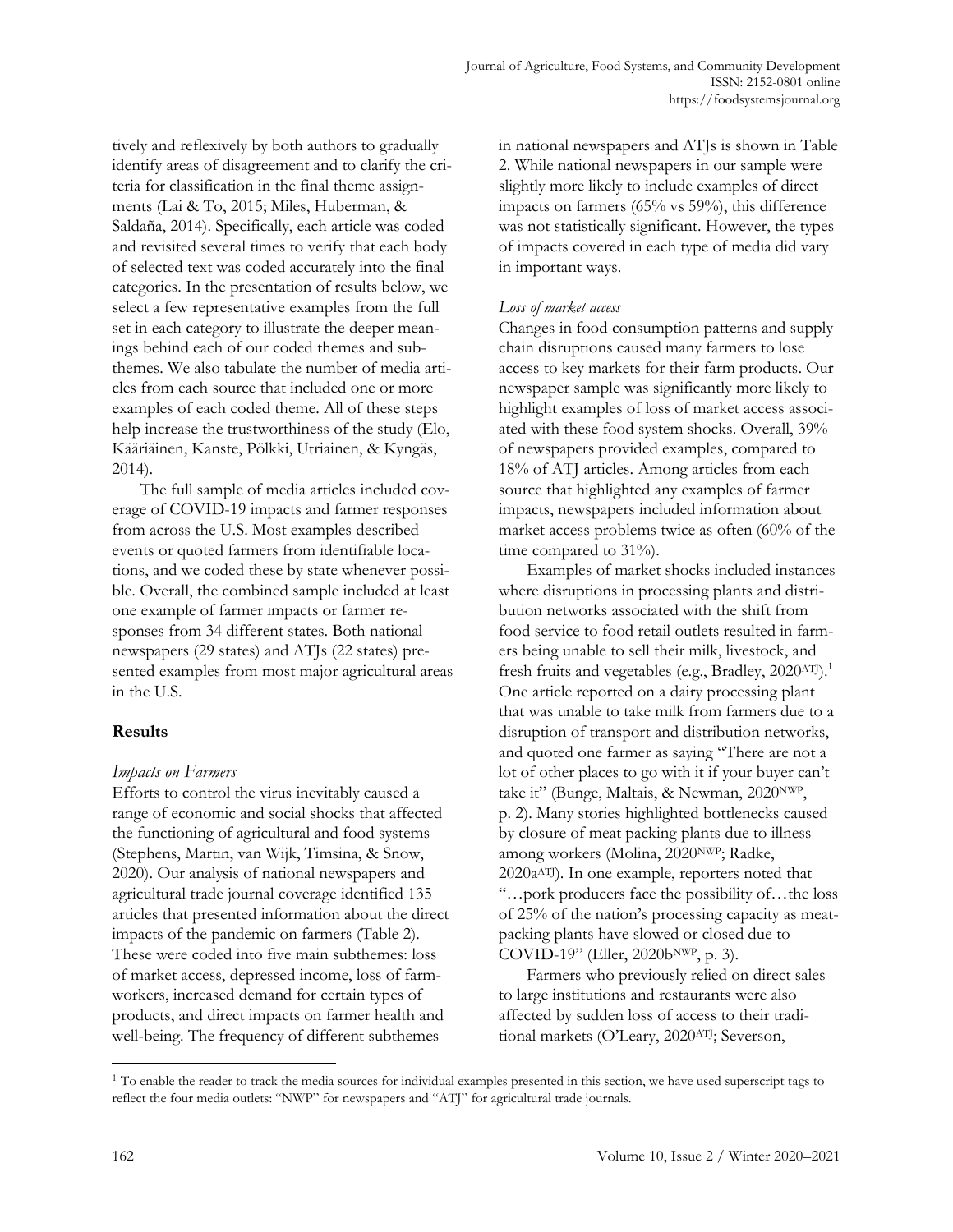tively and reflexively by both authors to gradually identify areas of disagreement and to clarify the criteria for classification in the final theme assignments (Lai & To, 2015; Miles, Huberman, & Saldaña, 2014). Specifically, each article was coded and revisited several times to verify that each body of selected text was coded accurately into the final categories. In the presentation of results below, we select a few representative examples from the full set in each category to illustrate the deeper meanings behind each of our coded themes and subthemes. We also tabulate the number of media articles from each source that included one or more examples of each coded theme. All of these steps help increase the trustworthiness of the study (Elo, Kääriäinen, Kanste, Pölkki, Utriainen, & Kyngäs, 2014).

The full sample of media articles included coverage of COVID-19 impacts and farmer responses from across the U.S. Most examples described events or quoted farmers from identifiable locations, and we coded these by state whenever possible. Overall, the combined sample included at least one example of farmer impacts or farmer responses from 34 different states. Both national newspapers (29 states) and ATJs (22 states) presented examples from most major agricultural areas in the U.S.

### **Results**

### *Impacts on Farmers*

Efforts to control the virus inevitably caused a range of economic and social shocks that affected the functioning of agricultural and food systems (Stephens, Martin, van Wijk, Timsina, & Snow, 2020). Our analysis of national newspapers and agricultural trade journal coverage identified 135 articles that presented information about the direct impacts of the pandemic on farmers (Table 2). These were coded into five main subthemes: loss of market access, depressed income, loss of farmworkers, increased demand for certain types of products, and direct impacts on farmer health and well-being. The frequency of different subthemes

in national newspapers and ATJs is shown in Table 2. While national newspapers in our sample were slightly more likely to include examples of direct impacts on farmers (65% vs 59%), this difference was not statistically significant. However, the types of impacts covered in each type of media did vary in important ways.

### *Loss of market access*

Changes in food consumption patterns and supply chain disruptions caused many farmers to lose access to key markets for their farm products. Our newspaper sample was significantly more likely to highlight examples of loss of market access associated with these food system shocks. Overall, 39% of newspapers provided examples, compared to 18% of ATJ articles. Among articles from each source that highlighted any examples of farmer impacts, newspapers included information about market access problems twice as often (60% of the time compared to 31%).

Examples of market shocks included instances where disruptions in processing plants and distribution networks associated with the shift from food service to food retail outlets resulted in farmers being unable to sell their milk, livestock, and fresh fruits and vegetables (e.g., Bradley, 2020ATJ).<sup>1</sup> One article reported on a dairy processing plant that was unable to take milk from farmers due to a disruption of transport and distribution networks, and quoted one farmer as saying "There are not a lot of other places to go with it if your buyer can't take it" (Bunge, Maltais, & Newman, 2020NWP, p. 2). Many stories highlighted bottlenecks caused by closure of meat packing plants due to illness among workers (Molina, 2020NWP; Radke, 2020a ATJ). In one example, reporters noted that "…pork producers face the possibility of…the loss of 25% of the nation's processing capacity as meatpacking plants have slowed or closed due to COVID-19" (Eller, 2020b<sup>NWP</sup>, p. 3).

Farmers who previously relied on direct sales to large institutions and restaurants were also affected by sudden loss of access to their traditional markets (O'Leary, 2020ATJ; Severson,

<sup>&</sup>lt;sup>1</sup> To enable the reader to track the media sources for individual examples presented in this section, we have used superscript tags to reflect the four media outlets: "NWP" for newspapers and "ATJ" for agricultural trade journals.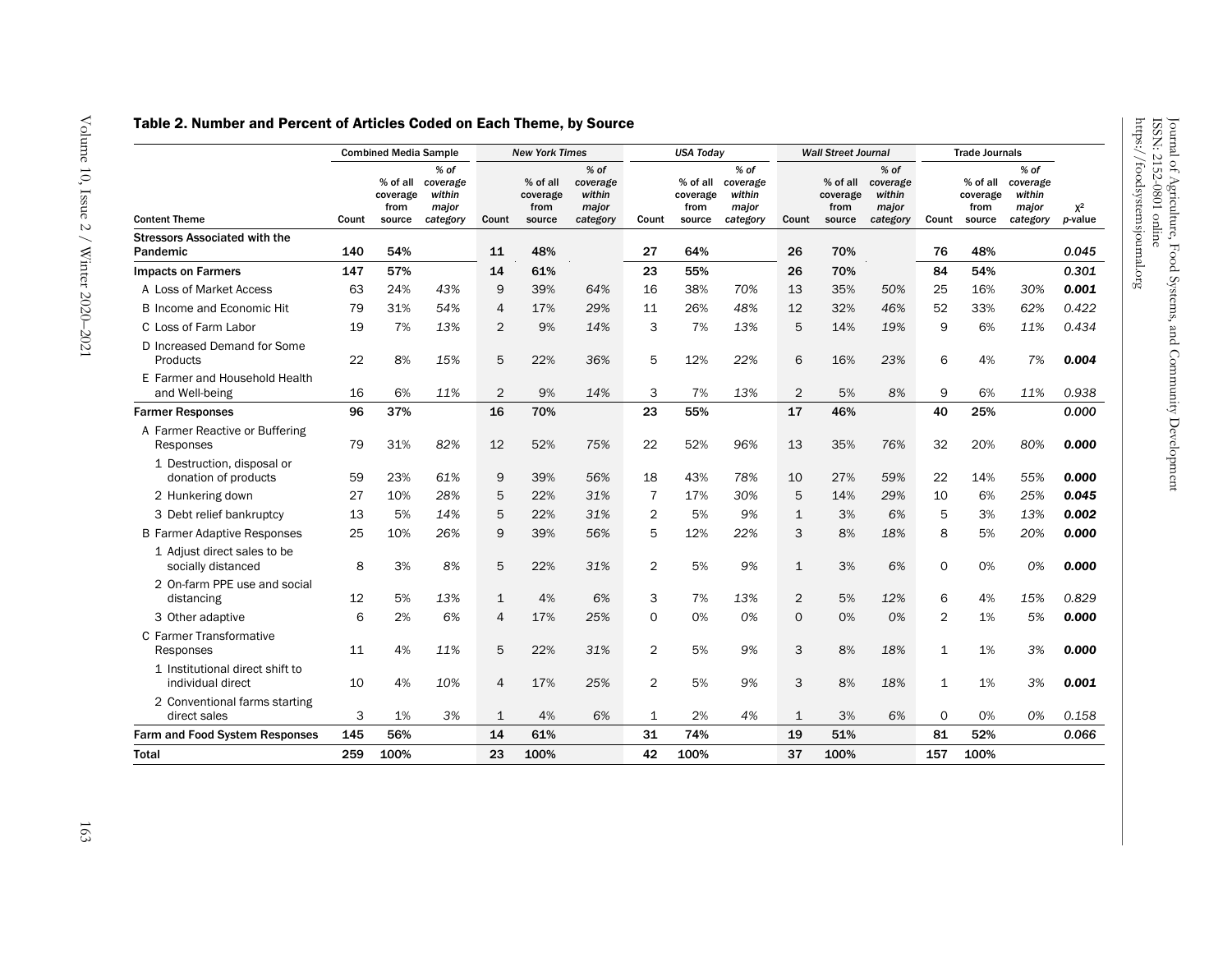### Table 2. Number and Percent of Articles Coded on Each Theme, by Source

|                                                      | <b>Combined Media Sample</b> |                                        | <b>New York Times</b>                             |                |                                        | <b>USA Today</b>                                  |                |                            | <b>Wall Street Journal</b>                                 |                |                                        | <b>Trade Journals</b>                             |                |                            |                                                            |                  |
|------------------------------------------------------|------------------------------|----------------------------------------|---------------------------------------------------|----------------|----------------------------------------|---------------------------------------------------|----------------|----------------------------|------------------------------------------------------------|----------------|----------------------------------------|---------------------------------------------------|----------------|----------------------------|------------------------------------------------------------|------------------|
| <b>Content Theme</b>                                 | Count                        | % of all<br>coverage<br>from<br>source | $%$ of<br>coverage<br>within<br>major<br>category | Count          | % of all<br>coverage<br>from<br>source | $%$ of<br>coverage<br>within<br>major<br>category | Count          | coverage<br>from<br>source | $%$ of<br>% of all coverage<br>within<br>major<br>category | Count          | % of all<br>coverage<br>from<br>source | $%$ of<br>coverage<br>within<br>major<br>category | Count          | coverage<br>from<br>source | $%$ of<br>% of all coverage<br>within<br>major<br>category | $X^2$<br>p-value |
| <b>Stressors Associated with the</b>                 |                              |                                        |                                                   |                |                                        |                                                   |                |                            |                                                            |                |                                        |                                                   |                |                            |                                                            |                  |
| Pandemic                                             | 140                          | 54%                                    |                                                   | 11             | 48%                                    |                                                   | 27             | 64%                        |                                                            | 26             | 70%                                    |                                                   | 76             | 48%                        |                                                            | 0.045            |
| <b>Impacts on Farmers</b>                            | 147                          | 57%                                    |                                                   | 14             | 61%                                    |                                                   | 23             | 55%                        |                                                            | 26             | 70%                                    |                                                   | 84             | 54%                        |                                                            | 0.301            |
| A Loss of Market Access                              | 63                           | 24%                                    | 43%                                               | 9              | 39%                                    | 64%                                               | 16             | 38%                        | 70%                                                        | 13             | 35%                                    | 50%                                               | 25             | 16%                        | 30%                                                        | 0.001            |
| <b>B</b> Income and Economic Hit                     | 79                           | 31%                                    | 54%                                               | 4              | 17%                                    | 29%                                               | 11             | 26%                        | 48%                                                        | 12             | 32%                                    | 46%                                               | 52             | 33%                        | 62%                                                        | 0.422            |
| C Loss of Farm Labor                                 | 19                           | 7%                                     | 13%                                               | $\overline{2}$ | 9%                                     | 14%                                               | 3              | 7%                         | 13%                                                        | 5              | 14%                                    | 19%                                               | 9              | 6%                         | 11%                                                        | 0.434            |
| D Increased Demand for Some<br>Products              | 22                           | 8%                                     | 15%                                               | 5              | 22%                                    | 36%                                               | 5              | 12%                        | 22%                                                        | 6              | 16%                                    | 23%                                               | 6              | 4%                         | 7%                                                         | 0.004            |
| E Farmer and Household Health<br>and Well-being      | 16                           | 6%                                     | 11%                                               | $\overline{2}$ | 9%                                     | 14%                                               | 3              | 7%                         | 13%                                                        | $\overline{2}$ | 5%                                     | 8%                                                | 9              | 6%                         | 11%                                                        | 0.938            |
| <b>Farmer Responses</b>                              | 96                           | 37%                                    |                                                   | 16             | 70%                                    |                                                   | 23             | 55%                        |                                                            | 17             | 46%                                    |                                                   | 40             | 25%                        |                                                            | 0.000            |
| A Farmer Reactive or Buffering<br>Responses          | 79                           | 31%                                    | 82%                                               | 12             | 52%                                    | 75%                                               | 22             | 52%                        | 96%                                                        | 13             | 35%                                    | 76%                                               | 32             | 20%                        | 80%                                                        | 0.000            |
| 1 Destruction, disposal or<br>donation of products   | 59                           | 23%                                    | 61%                                               | 9              | 39%                                    | 56%                                               | 18             | 43%                        | 78%                                                        | 10             | 27%                                    | 59%                                               | 22             | 14%                        | 55%                                                        | 0.000            |
| 2 Hunkering down                                     | 27                           | 10%                                    | 28%                                               | 5              | 22%                                    | 31%                                               | $\overline{7}$ | 17%                        | 30%                                                        | 5              | 14%                                    | 29%                                               | 10             | 6%                         | 25%                                                        | 0.045            |
| 3 Debt relief bankruptcy                             | 13                           | 5%                                     | 14%                                               | 5              | 22%                                    | 31%                                               | $\overline{2}$ | 5%                         | 9%                                                         | $\mathbf{1}$   | 3%                                     | 6%                                                | 5              | 3%                         | 13%                                                        | 0.002            |
| <b>B Farmer Adaptive Responses</b>                   | 25                           | 10%                                    | 26%                                               | 9              | 39%                                    | 56%                                               | 5              | 12%                        | 22%                                                        | 3              | 8%                                     | 18%                                               | 8              | 5%                         | 20%                                                        | 0.000            |
| 1 Adjust direct sales to be<br>socially distanced    | 8                            | 3%                                     | 8%                                                | 5              | 22%                                    | 31%                                               | $\overline{2}$ | 5%                         | 9%                                                         | $\mathbf{1}$   | 3%                                     | 6%                                                | $\mathsf{O}$   | 0%                         | 0%                                                         | 0.000            |
| 2 On-farm PPE use and social<br>distancing           | 12                           | 5%                                     | 13%                                               | $\mathbf{1}$   | 4%                                     | 6%                                                | 3              | 7%                         | 13%                                                        | 2              | 5%                                     | 12%                                               | 6              | 4%                         | 15%                                                        | 0.829            |
| 3 Other adaptive                                     | 6                            | 2%                                     | 6%                                                | 4              | 17%                                    | 25%                                               | 0              | 0%                         | 0%                                                         | 0              | 0%                                     | 0%                                                | $\overline{2}$ | 1%                         | 5%                                                         | 0.000            |
| C Farmer Transformative<br>Responses                 | 11                           | 4%                                     | 11%                                               | 5              | 22%                                    | 31%                                               | $\overline{2}$ | 5%                         | 9%                                                         | 3              | 8%                                     | 18%                                               | 1              | 1%                         | 3%                                                         | 0.000            |
| 1 Institutional direct shift to<br>individual direct | 10                           | 4%                                     | 10%                                               | 4              | 17%                                    | 25%                                               | $\overline{2}$ | 5%                         | 9%                                                         | 3              | 8%                                     | 18%                                               | $\mathbf{1}$   | 1%                         | 3%                                                         | 0.001            |
| 2 Conventional farms starting<br>direct sales        | 3                            | 1%                                     | 3%                                                | $\mathbf{1}$   | 4%                                     | 6%                                                | 1              | 2%                         | 4%                                                         | 1              | 3%                                     | 6%                                                | 0              | 0%                         | 0%                                                         | 0.158            |
| <b>Farm and Food System Responses</b>                | 145                          | 56%                                    |                                                   | 14             | 61%                                    |                                                   | 31             | 74%                        |                                                            | 19             | 51%                                    |                                                   | 81             | 52%                        |                                                            | 0.066            |
| <b>Total</b>                                         | 259                          | 100%                                   |                                                   | 23             | 100%                                   |                                                   | 42             | 100%                       |                                                            | 37             | 100%                                   |                                                   | 157            | 100%                       |                                                            |                  |

ISSN: 2152

-0801 online https://foodsystemsjournal.org

Journal of Agriculture, Food Systems, and Community Development

Journal of Agriculture, Food Systems, and Community Development<br>ISSN: 2152-0801 online<br>https://foodsystemsjournal.org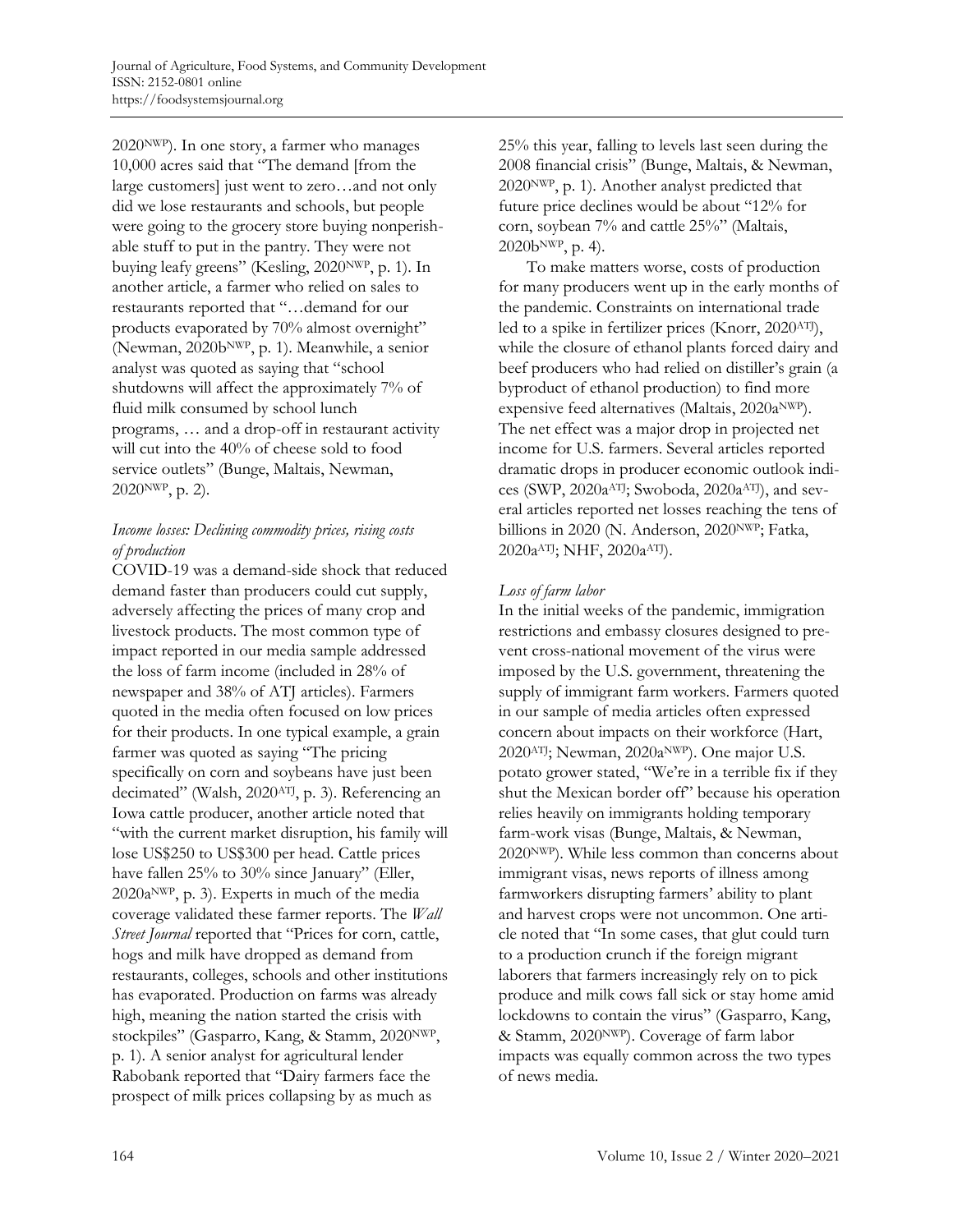2020NWP). In one story, a farmer who manages 10,000 acres said that "The demand [from the large customers] just went to zero…and not only did we lose restaurants and schools, but people were going to the grocery store buying nonperishable stuff to put in the pantry. They were not buying leafy greens" (Kesling, 2020NWP, p. 1). In another article, a farmer who relied on sales to restaurants reported that "…demand for our products evaporated by 70% almost overnight" (Newman, 2020bNWP, p. 1). Meanwhile, a senior analyst was quoted as saying that "school shutdowns will affect the approximately 7% of fluid milk consumed by school lunch programs, … and a drop-off in restaurant activity will cut into the 40% of cheese sold to food service outlets" (Bunge, Maltais, Newman, 2020NWP, p. 2).

### *Income losses: Declining commodity prices, rising costs of production*

COVID-19 was a demand-side shock that reduced demand faster than producers could cut supply, adversely affecting the prices of many crop and livestock products. The most common type of impact reported in our media sample addressed the loss of farm income (included in 28% of newspaper and 38% of ATJ articles). Farmers quoted in the media often focused on low prices for their products. In one typical example, a grain farmer was quoted as saying "The pricing specifically on corn and soybeans have just been decimated" (Walsh, 2020ATJ, p. 3). Referencing an Iowa cattle producer, another article noted that "with the current market disruption, his family will lose US\$250 to US\$300 per head. Cattle prices have fallen 25% to 30% since January" (Eller, 2020aNWP, p. 3). Experts in much of the media coverage validated these farmer reports. The *Wall Street Journal* reported that "Prices for corn, cattle, hogs and milk have dropped as demand from restaurants, colleges, schools and other institutions has evaporated. Production on farms was already high, meaning the nation started the crisis with stockpiles" (Gasparro, Kang, & Stamm, 2020NWP, p. 1). A senior analyst for agricultural lender Rabobank reported that "Dairy farmers face the prospect of milk prices collapsing by as much as

25% this year, falling to levels last seen during the 2008 financial crisis" (Bunge, Maltais, & Newman, 2020NWP, p. 1). Another analyst predicted that future price declines would be about "12% for corn, soybean 7% and cattle 25%" (Maltais, 2020bNWP, p. 4).

To make matters worse, costs of production for many producers went up in the early months of the pandemic. Constraints on international trade led to a spike in fertilizer prices (Knorr, 2020ATJ), while the closure of ethanol plants forced dairy and beef producers who had relied on distiller's grain (a byproduct of ethanol production) to find more expensive feed alternatives (Maltais, 2020a<sup>NWP</sup>). The net effect was a major drop in projected net income for U.S. farmers. Several articles reported dramatic drops in producer economic outlook indices (SWP, 2020a<sup>ATJ</sup>; Swoboda, 2020a<sup>ATJ</sup>), and several articles reported net losses reaching the tens of billions in 2020 (N. Anderson, 2020<sup>NWP</sup>; Fatka, 2020a<sup>ATJ</sup>; NHF, 2020a<sup>ATJ</sup>).

## *Loss of farm labor*

In the initial weeks of the pandemic, immigration restrictions and embassy closures designed to prevent cross-national movement of the virus were imposed by the U.S. government, threatening the supply of immigrant farm workers. Farmers quoted in our sample of media articles often expressed concern about impacts on their workforce (Hart, 2020ATJ; Newman, 2020aNWP). One major U.S. potato grower stated, "We're in a terrible fix if they shut the Mexican border off" because his operation relies heavily on immigrants holding temporary farm-work visas (Bunge, Maltais, & Newman, 2020NWP). While less common than concerns about immigrant visas, news reports of illness among farmworkers disrupting farmers' ability to plant and harvest crops were not uncommon. One article noted that "In some cases, that glut could turn to a production crunch if the foreign migrant laborers that farmers increasingly rely on to pick produce and milk cows fall sick or stay home amid lockdowns to contain the virus" (Gasparro, Kang, & Stamm, 2020NWP). Coverage of farm labor impacts was equally common across the two types of news media.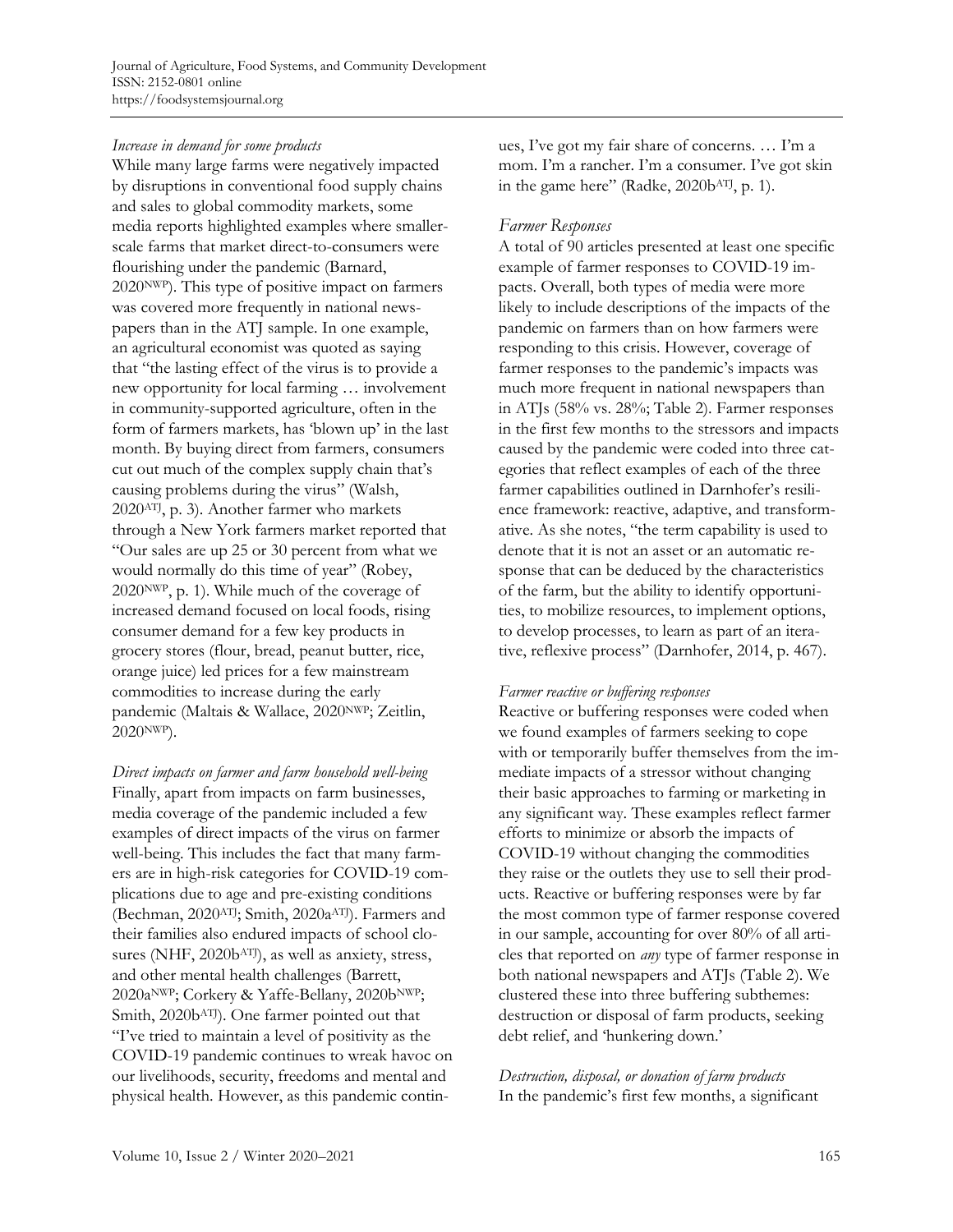## *Increase in demand for some products*

While many large farms were negatively impacted by disruptions in conventional food supply chains and sales to global commodity markets, some media reports highlighted examples where smallerscale farms that market direct-to-consumers were flourishing under the pandemic (Barnard, 2020NWP). This type of positive impact on farmers was covered more frequently in national newspapers than in the ATJ sample. In one example, an agricultural economist was quoted as saying that "the lasting effect of the virus is to provide a new opportunity for local farming … involvement in community-supported agriculture, often in the form of farmers markets, has 'blown up' in the last month. By buying direct from farmers, consumers cut out much of the complex supply chain that's causing problems during the virus" (Walsh, 2020ATJ, p. 3). Another farmer who markets through a New York farmers market reported that "Our sales are up 25 or 30 percent from what we would normally do this time of year" (Robey, 2020NWP, p. 1). While much of the coverage of increased demand focused on local foods, rising consumer demand for a few key products in grocery stores (flour, bread, peanut butter, rice, orange juice) led prices for a few mainstream commodities to increase during the early pandemic (Maltais & Wallace, 2020NWP; Zeitlin, 2020NWP).

*Direct impacts on farmer and farm household well-being*  Finally, apart from impacts on farm businesses, media coverage of the pandemic included a few examples of direct impacts of the virus on farmer well-being. This includes the fact that many farmers are in high-risk categories for COVID-19 complications due to age and pre-existing conditions (Bechman, 2020ATJ; Smith, 2020a ATJ). Farmers and their families also endured impacts of school closures (NHF, 2020bATJ), as well as anxiety, stress, and other mental health challenges (Barrett, 2020a<sup>NWP</sup>; Corkery & Yaffe-Bellany, 2020b<sup>NWP</sup>; Smith, 2020bATJ). One farmer pointed out that "I've tried to maintain a level of positivity as the COVID-19 pandemic continues to wreak havoc on our livelihoods, security, freedoms and mental and physical health. However, as this pandemic continues, I've got my fair share of concerns. … I'm a mom. I'm a rancher. I'm a consumer. I've got skin in the game here" (Radke, 2020b<sup>ATJ</sup>, p. 1).

### *Farmer Responses*

A total of 90 articles presented at least one specific example of farmer responses to COVID-19 impacts. Overall, both types of media were more likely to include descriptions of the impacts of the pandemic on farmers than on how farmers were responding to this crisis. However, coverage of farmer responses to the pandemic's impacts was much more frequent in national newspapers than in ATJs (58% vs. 28%; Table 2). Farmer responses in the first few months to the stressors and impacts caused by the pandemic were coded into three categories that reflect examples of each of the three farmer capabilities outlined in Darnhofer's resilience framework: reactive, adaptive, and transformative. As she notes, "the term capability is used to denote that it is not an asset or an automatic response that can be deduced by the characteristics of the farm, but the ability to identify opportunities, to mobilize resources, to implement options, to develop processes, to learn as part of an iterative, reflexive process" (Darnhofer, 2014, p. 467).

#### *Farmer reactive or buffering responses*

Reactive or buffering responses were coded when we found examples of farmers seeking to cope with or temporarily buffer themselves from the immediate impacts of a stressor without changing their basic approaches to farming or marketing in any significant way. These examples reflect farmer efforts to minimize or absorb the impacts of COVID-19 without changing the commodities they raise or the outlets they use to sell their products. Reactive or buffering responses were by far the most common type of farmer response covered in our sample, accounting for over 80% of all articles that reported on *any* type of farmer response in both national newspapers and ATJs (Table 2). We clustered these into three buffering subthemes: destruction or disposal of farm products, seeking debt relief, and 'hunkering down.'

*Destruction, disposal, or donation of farm products* In the pandemic's first few months, a significant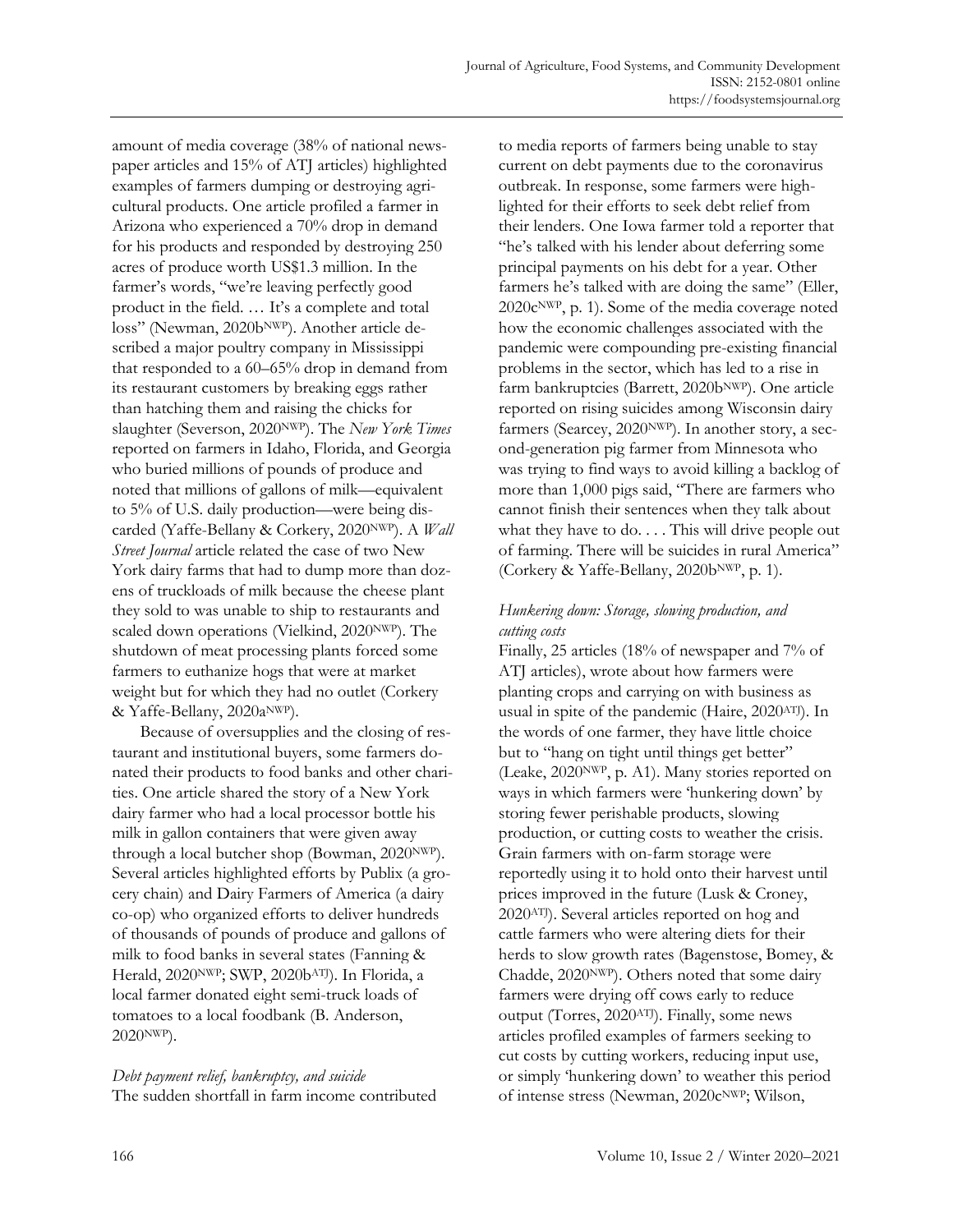amount of media coverage (38% of national newspaper articles and 15% of ATJ articles) highlighted examples of farmers dumping or destroying agricultural products. One article profiled a farmer in Arizona who experienced a 70% drop in demand for his products and responded by destroying 250 acres of produce worth US\$1.3 million. In the farmer's words, "we're leaving perfectly good product in the field. … It's a complete and total loss" (Newman, 2020bNWP). Another article described a major poultry company in Mississippi that responded to a 60–65% drop in demand from its restaurant customers by breaking eggs rather than hatching them and raising the chicks for slaughter (Severson, 2020NWP). The *New York Times* reported on farmers in Idaho, Florida, and Georgia who buried millions of pounds of produce and noted that millions of gallons of milk—equivalent to 5% of U.S. daily production—were being discarded (Yaffe-Bellany & Corkery, 2020<sup>NWP</sup>). A *Wall Street Journal* article related the case of two New York dairy farms that had to dump more than dozens of truckloads of milk because the cheese plant they sold to was unable to ship to restaurants and scaled down operations (Vielkind, 2020NWP). The shutdown of meat processing plants forced some farmers to euthanize hogs that were at market weight but for which they had no outlet (Corkery & Yaffe-Bellany, 2020aNWP).

Because of oversupplies and the closing of restaurant and institutional buyers, some farmers donated their products to food banks and other charities. One article shared the story of a New York dairy farmer who had a local processor bottle his milk in gallon containers that were given away through a local butcher shop (Bowman, 2020NWP). Several articles highlighted efforts by Publix (a grocery chain) and Dairy Farmers of America (a dairy co-op) who organized efforts to deliver hundreds of thousands of pounds of produce and gallons of milk to food banks in several states (Fanning & Herald, 2020NWP; SWP, 2020bATJ). In Florida, a local farmer donated eight semi-truck loads of tomatoes to a local foodbank (B. Anderson, 2020NWP).

*Debt payment relief, bankruptcy, and suicide*  The sudden shortfall in farm income contributed to media reports of farmers being unable to stay current on debt payments due to the coronavirus outbreak. In response, some farmers were highlighted for their efforts to seek debt relief from their lenders. One Iowa farmer told a reporter that "he's talked with his lender about deferring some principal payments on his debt for a year. Other farmers he's talked with are doing the same" (Eller,  $2020c<sup>NWP</sup>$ , p. 1). Some of the media coverage noted how the economic challenges associated with the pandemic were compounding pre-existing financial problems in the sector, which has led to a rise in farm bankruptcies (Barrett, 2020bNWP). One article reported on rising suicides among Wisconsin dairy farmers (Searcey, 2020<sup>NWP</sup>). In another story, a second-generation pig farmer from Minnesota who was trying to find ways to avoid killing a backlog of more than 1,000 pigs said, "There are farmers who cannot finish their sentences when they talk about what they have to  $do. \ldots$  This will drive people out of farming. There will be suicides in rural America" (Corkery & Yaffe-Bellany, 2020b<sup>NWP</sup>, p. 1).

### *Hunkering down: Storage, slowing production, and cutting costs*

Finally, 25 articles (18% of newspaper and 7% of ATJ articles), wrote about how farmers were planting crops and carrying on with business as usual in spite of the pandemic (Haire, 2020ATJ). In the words of one farmer, they have little choice but to "hang on tight until things get better" (Leake, 2020NWP, p. A1). Many stories reported on ways in which farmers were 'hunkering down' by storing fewer perishable products, slowing production, or cutting costs to weather the crisis. Grain farmers with on-farm storage were reportedly using it to hold onto their harvest until prices improved in the future (Lusk & Croney, 2020ATJ). Several articles reported on hog and cattle farmers who were altering diets for their herds to slow growth rates (Bagenstose, Bomey, & Chadde, 2020NWP). Others noted that some dairy farmers were drying off cows early to reduce output (Torres, 2020ATJ). Finally, some news articles profiled examples of farmers seeking to cut costs by cutting workers, reducing input use, or simply 'hunkering down' to weather this period of intense stress (Newman, 2020cNWP; Wilson,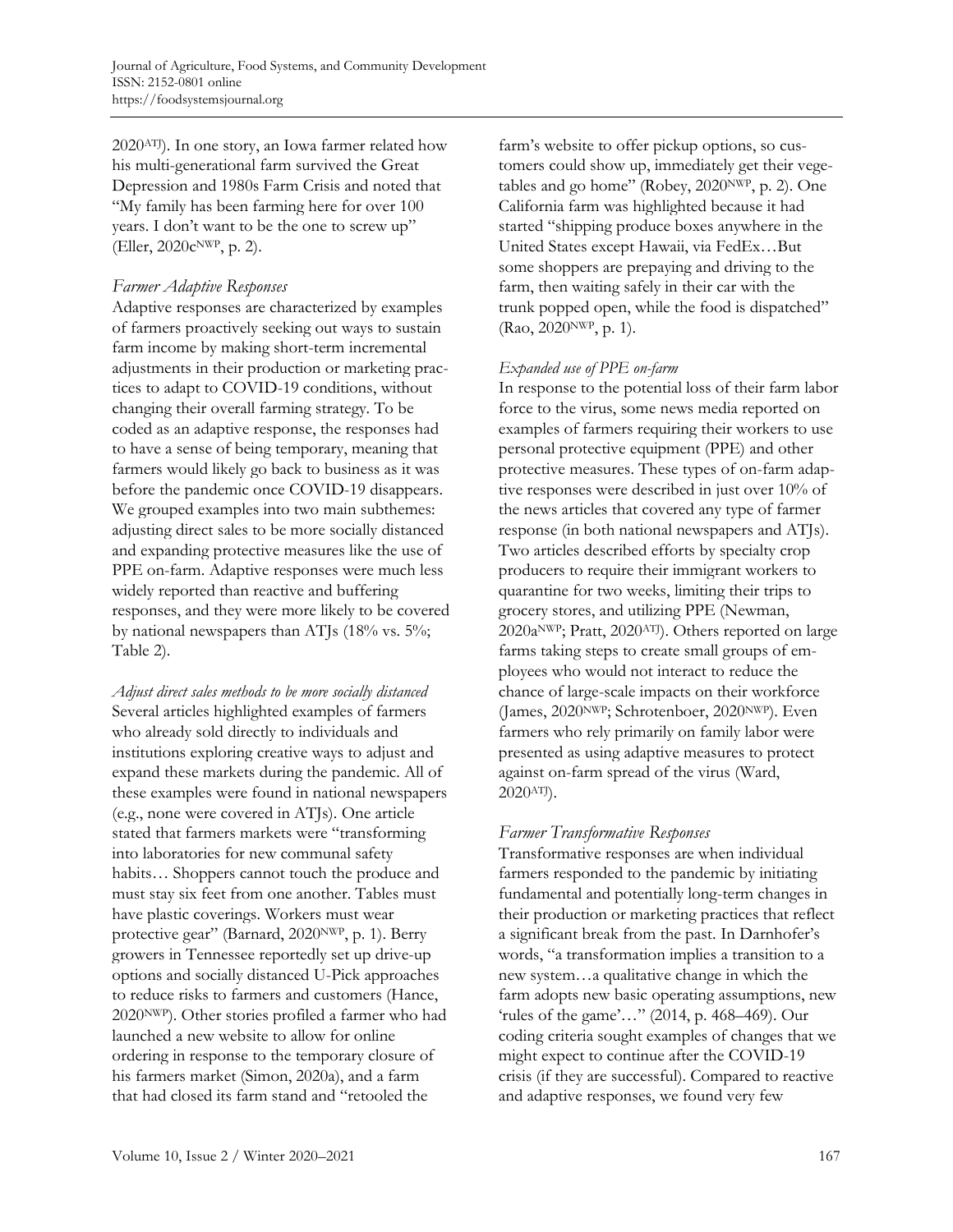2020ATJ). In one story, an Iowa farmer related how his multi-generational farm survived the Great Depression and 1980s Farm Crisis and noted that "My family has been farming here for over 100 years. I don't want to be the one to screw up" (Eller, 2020cNWP, p. 2).

### *Farmer Adaptive Responses*

Adaptive responses are characterized by examples of farmers proactively seeking out ways to sustain farm income by making short-term incremental adjustments in their production or marketing practices to adapt to COVID-19 conditions, without changing their overall farming strategy. To be coded as an adaptive response, the responses had to have a sense of being temporary, meaning that farmers would likely go back to business as it was before the pandemic once COVID-19 disappears. We grouped examples into two main subthemes: adjusting direct sales to be more socially distanced and expanding protective measures like the use of PPE on-farm. Adaptive responses were much less widely reported than reactive and buffering responses, and they were more likely to be covered by national newspapers than ATJs (18% vs. 5%; Table 2).

*Adjust direct sales methods to be more socially distanced* Several articles highlighted examples of farmers who already sold directly to individuals and institutions exploring creative ways to adjust and expand these markets during the pandemic. All of these examples were found in national newspapers (e.g., none were covered in ATJs). One article stated that farmers markets were "transforming into laboratories for new communal safety habits… Shoppers cannot touch the produce and must stay six feet from one another. Tables must have plastic coverings. Workers must wear protective gear" (Barnard, 2020NWP, p. 1). Berry growers in Tennessee reportedly set up drive-up options and socially distanced U-Pick approaches to reduce risks to farmers and customers (Hance, 2020NWP). Other stories profiled a farmer who had launched a new website to allow for online ordering in response to the temporary closure of his farmers market (Simon, 2020a), and a farm that had closed its farm stand and "retooled the

farm's website to offer pickup options, so customers could show up, immediately get their vegetables and go home" (Robey, 2020NWP, p. 2). One California farm was highlighted because it had started "shipping produce boxes anywhere in the United States except Hawaii, via FedEx…But some shoppers are prepaying and driving to the farm, then waiting safely in their car with the trunk popped open, while the food is dispatched" (Rao, 2020NWP, p. 1).

### *Expanded use of PPE on-farm*

In response to the potential loss of their farm labor force to the virus, some news media reported on examples of farmers requiring their workers to use personal protective equipment (PPE) and other protective measures. These types of on-farm adaptive responses were described in just over 10% of the news articles that covered any type of farmer response (in both national newspapers and ATJs). Two articles described efforts by specialty crop producers to require their immigrant workers to quarantine for two weeks, limiting their trips to grocery stores, and utilizing PPE (Newman, 2020aNWP; Pratt, 2020ATJ). Others reported on large farms taking steps to create small groups of employees who would not interact to reduce the chance of large-scale impacts on their workforce (James, 2020NWP; Schrotenboer, 2020NWP). Even farmers who rely primarily on family labor were presented as using adaptive measures to protect against on-farm spread of the virus (Ward, 2020ATJ).

### *Farmer Transformative Responses*

Transformative responses are when individual farmers responded to the pandemic by initiating fundamental and potentially long-term changes in their production or marketing practices that reflect a significant break from the past. In Darnhofer's words, "a transformation implies a transition to a new system…a qualitative change in which the farm adopts new basic operating assumptions, new 'rules of the game'…" (2014, p. 468–469). Our coding criteria sought examples of changes that we might expect to continue after the COVID-19 crisis (if they are successful). Compared to reactive and adaptive responses, we found very few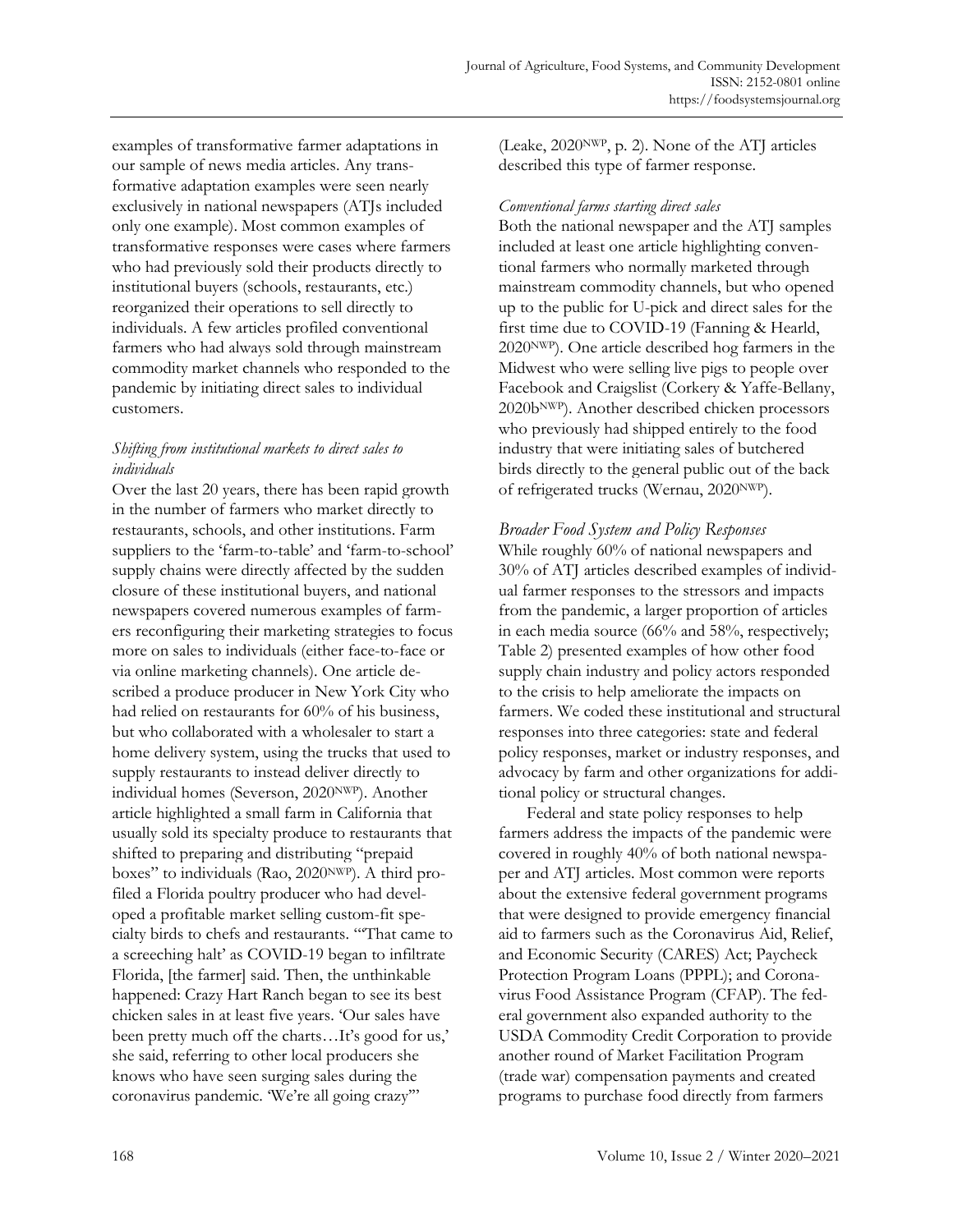examples of transformative farmer adaptations in our sample of news media articles. Any transformative adaptation examples were seen nearly exclusively in national newspapers (ATJs included only one example). Most common examples of transformative responses were cases where farmers who had previously sold their products directly to institutional buyers (schools, restaurants, etc.) reorganized their operations to sell directly to individuals. A few articles profiled conventional farmers who had always sold through mainstream commodity market channels who responded to the pandemic by initiating direct sales to individual customers.

#### *Shifting from institutional markets to direct sales to individuals*

Over the last 20 years, there has been rapid growth in the number of farmers who market directly to restaurants, schools, and other institutions. Farm suppliers to the 'farm-to-table' and 'farm-to-school' supply chains were directly affected by the sudden closure of these institutional buyers, and national newspapers covered numerous examples of farmers reconfiguring their marketing strategies to focus more on sales to individuals (either face-to-face or via online marketing channels). One article described a produce producer in New York City who had relied on restaurants for 60% of his business, but who collaborated with a wholesaler to start a home delivery system, using the trucks that used to supply restaurants to instead deliver directly to individual homes (Severson, 2020NWP). Another article highlighted a small farm in California that usually sold its specialty produce to restaurants that shifted to preparing and distributing "prepaid boxes" to individuals (Rao, 2020NWP). A third profiled a Florida poultry producer who had developed a profitable market selling custom-fit specialty birds to chefs and restaurants. "'That came to a screeching halt' as COVID-19 began to infiltrate Florida, [the farmer] said. Then, the unthinkable happened: Crazy Hart Ranch began to see its best chicken sales in at least five years. 'Our sales have been pretty much off the charts…It's good for us,' she said, referring to other local producers she knows who have seen surging sales during the coronavirus pandemic. 'We're all going crazy'"

(Leake, 2020NWP, p. 2). None of the ATJ articles described this type of farmer response.

#### *Conventional farms starting direct sales*

Both the national newspaper and the ATJ samples included at least one article highlighting conventional farmers who normally marketed through mainstream commodity channels, but who opened up to the public for U-pick and direct sales for the first time due to COVID-19 (Fanning & Hearld, 2020NWP). One article described hog farmers in the Midwest who were selling live pigs to people over Facebook and Craigslist (Corkery & Yaffe-Bellany, 2020bNWP). Another described chicken processors who previously had shipped entirely to the food industry that were initiating sales of butchered birds directly to the general public out of the back of refrigerated trucks (Wernau, 2020NWP).

### *Broader Food System and Policy Responses*

While roughly 60% of national newspapers and 30% of ATJ articles described examples of individual farmer responses to the stressors and impacts from the pandemic, a larger proportion of articles in each media source (66% and 58%, respectively; Table 2) presented examples of how other food supply chain industry and policy actors responded to the crisis to help ameliorate the impacts on farmers. We coded these institutional and structural responses into three categories: state and federal policy responses, market or industry responses, and advocacy by farm and other organizations for additional policy or structural changes.

Federal and state policy responses to help farmers address the impacts of the pandemic were covered in roughly 40% of both national newspaper and ATJ articles. Most common were reports about the extensive federal government programs that were designed to provide emergency financial aid to farmers such as the Coronavirus Aid, Relief, and Economic Security (CARES) Act; Paycheck Protection Program Loans (PPPL); and Coronavirus Food Assistance Program (CFAP). The federal government also expanded authority to the USDA Commodity Credit Corporation to provide another round of Market Facilitation Program (trade war) compensation payments and created programs to purchase food directly from farmers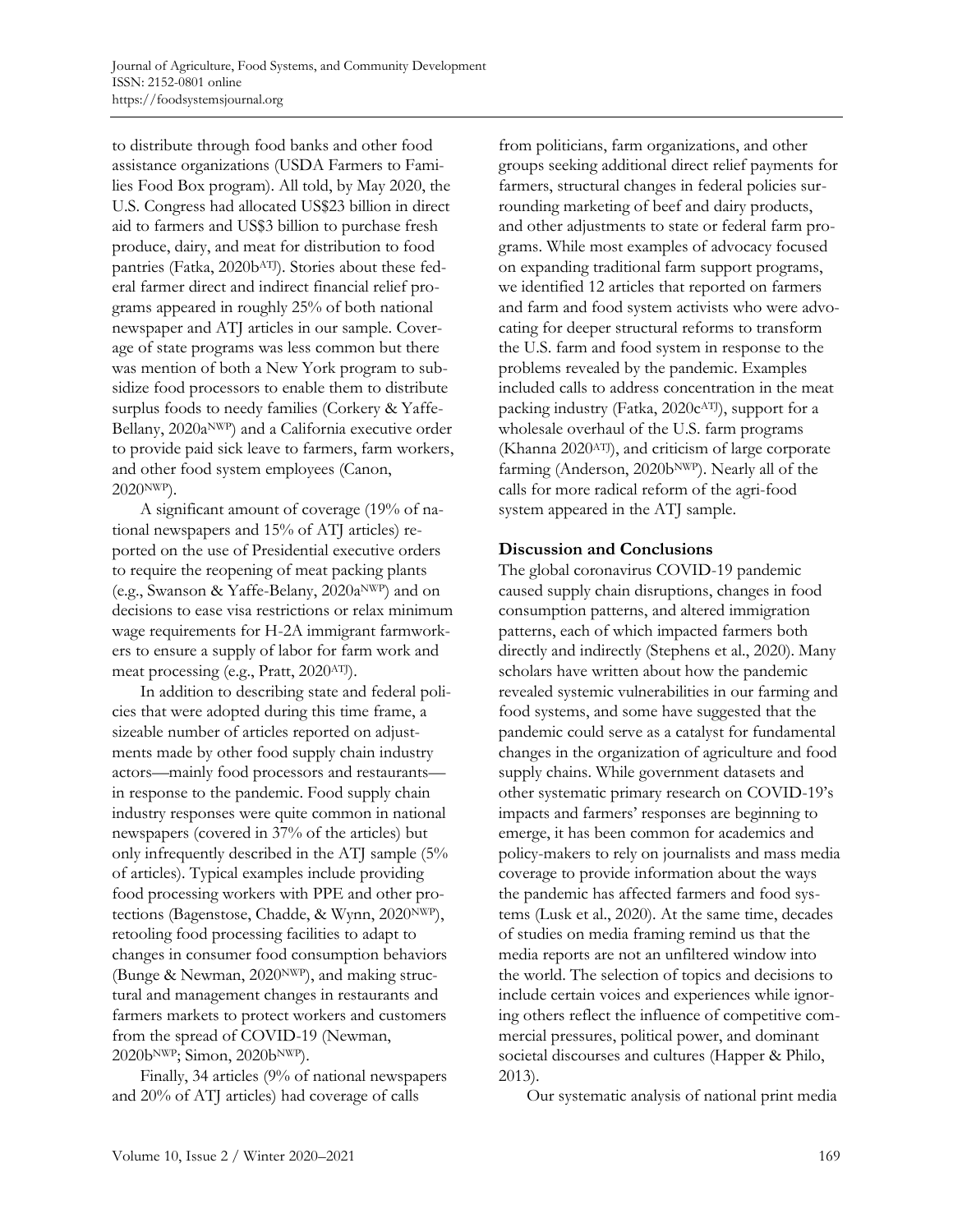to distribute through food banks and other food assistance organizations (USDA Farmers to Families Food Box program). All told, by May 2020, the U.S. Congress had allocated US\$23 billion in direct aid to farmers and US\$3 billion to purchase fresh produce, dairy, and meat for distribution to food pantries (Fatka, 2020bATJ). Stories about these federal farmer direct and indirect financial relief programs appeared in roughly 25% of both national newspaper and ATJ articles in our sample. Coverage of state programs was less common but there was mention of both a New York program to subsidize food processors to enable them to distribute surplus foods to needy families (Corkery & Yaffe-Bellany, 2020a<sup>NWP</sup>) and a California executive order to provide paid sick leave to farmers, farm workers, and other food system employees (Canon, 2020NWP).

A significant amount of coverage (19% of national newspapers and 15% of ATJ articles) reported on the use of Presidential executive orders to require the reopening of meat packing plants (e.g., Swanson & Yaffe-Belany, 2020aNWP) and on decisions to ease visa restrictions or relax minimum wage requirements for H-2A immigrant farmworkers to ensure a supply of labor for farm work and meat processing (e.g., Pratt, 2020ATJ).

In addition to describing state and federal policies that were adopted during this time frame, a sizeable number of articles reported on adjustments made by other food supply chain industry actors—mainly food processors and restaurants in response to the pandemic. Food supply chain industry responses were quite common in national newspapers (covered in 37% of the articles) but only infrequently described in the ATJ sample (5% of articles). Typical examples include providing food processing workers with PPE and other protections (Bagenstose, Chadde, & Wynn, 2020NWP), retooling food processing facilities to adapt to changes in consumer food consumption behaviors (Bunge & Newman, 2020NWP), and making structural and management changes in restaurants and farmers markets to protect workers and customers from the spread of COVID-19 (Newman, 2020bNWP; Simon, 2020bNWP).

Finally, 34 articles (9% of national newspapers and 20% of ATJ articles) had coverage of calls

from politicians, farm organizations, and other groups seeking additional direct relief payments for farmers, structural changes in federal policies surrounding marketing of beef and dairy products, and other adjustments to state or federal farm programs. While most examples of advocacy focused on expanding traditional farm support programs, we identified 12 articles that reported on farmers and farm and food system activists who were advocating for deeper structural reforms to transform the U.S. farm and food system in response to the problems revealed by the pandemic. Examples included calls to address concentration in the meat packing industry (Fatka, 2020c<sup>ATJ</sup>), support for a wholesale overhaul of the U.S. farm programs (Khanna 2020ATJ), and criticism of large corporate farming (Anderson, 2020bNWP). Nearly all of the calls for more radical reform of the agri-food system appeared in the ATJ sample.

#### **Discussion and Conclusions**

The global coronavirus COVID-19 pandemic caused supply chain disruptions, changes in food consumption patterns, and altered immigration patterns, each of which impacted farmers both directly and indirectly (Stephens et al., 2020). Many scholars have written about how the pandemic revealed systemic vulnerabilities in our farming and food systems, and some have suggested that the pandemic could serve as a catalyst for fundamental changes in the organization of agriculture and food supply chains. While government datasets and other systematic primary research on COVID-19's impacts and farmers' responses are beginning to emerge, it has been common for academics and policy-makers to rely on journalists and mass media coverage to provide information about the ways the pandemic has affected farmers and food systems (Lusk et al., 2020). At the same time, decades of studies on media framing remind us that the media reports are not an unfiltered window into the world. The selection of topics and decisions to include certain voices and experiences while ignoring others reflect the influence of competitive commercial pressures, political power, and dominant societal discourses and cultures (Happer & Philo, 2013).

Our systematic analysis of national print media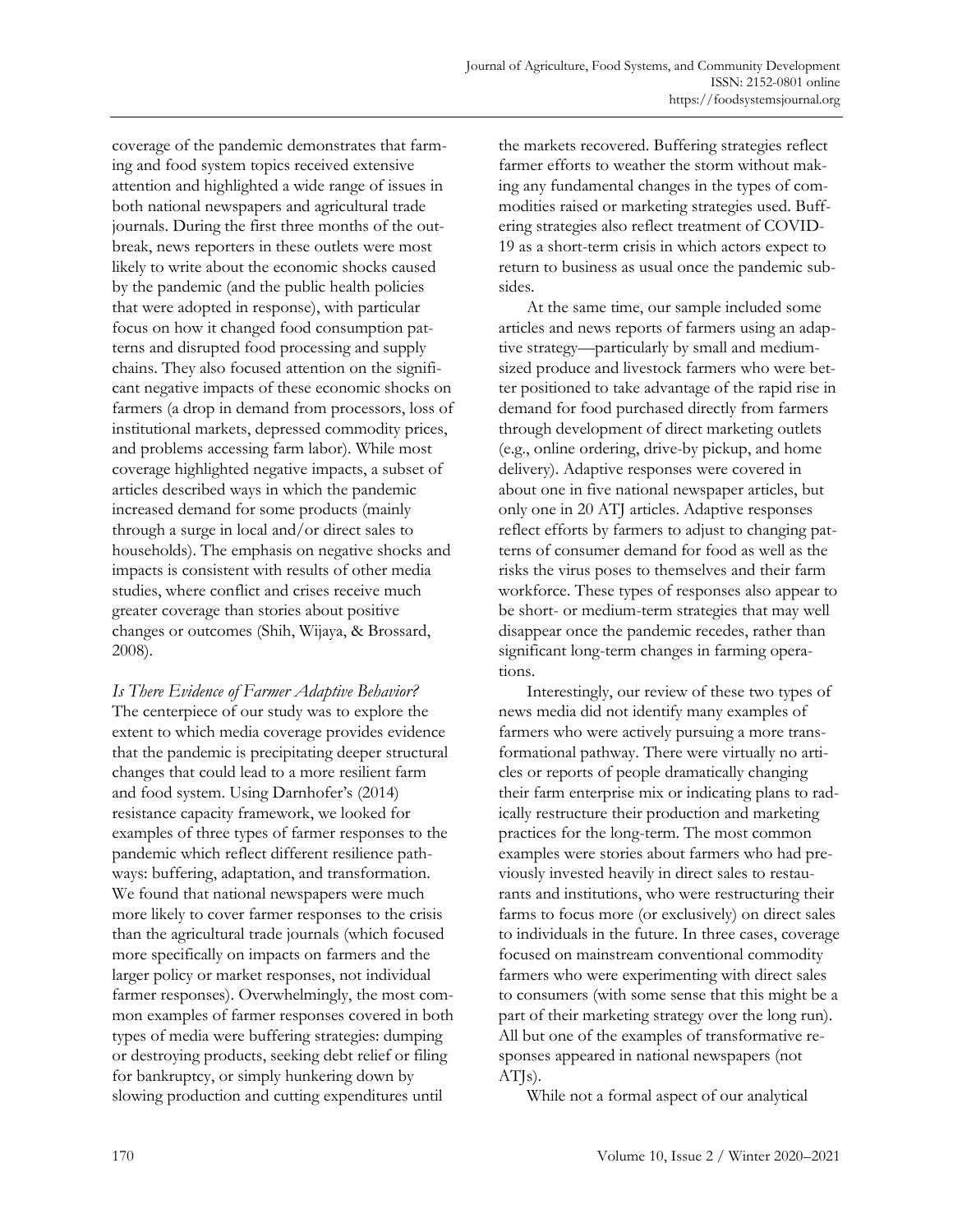coverage of the pandemic demonstrates that farming and food system topics received extensive attention and highlighted a wide range of issues in both national newspapers and agricultural trade journals. During the first three months of the outbreak, news reporters in these outlets were most likely to write about the economic shocks caused by the pandemic (and the public health policies that were adopted in response), with particular focus on how it changed food consumption patterns and disrupted food processing and supply chains. They also focused attention on the significant negative impacts of these economic shocks on farmers (a drop in demand from processors, loss of institutional markets, depressed commodity prices, and problems accessing farm labor). While most coverage highlighted negative impacts, a subset of articles described ways in which the pandemic increased demand for some products (mainly through a surge in local and/or direct sales to households). The emphasis on negative shocks and impacts is consistent with results of other media studies, where conflict and crises receive much greater coverage than stories about positive changes or outcomes (Shih, Wijaya, & Brossard, 2008).

*Is There Evidence of Farmer Adaptive Behavior?* The centerpiece of our study was to explore the extent to which media coverage provides evidence that the pandemic is precipitating deeper structural changes that could lead to a more resilient farm and food system. Using Darnhofer's (2014) resistance capacity framework, we looked for examples of three types of farmer responses to the pandemic which reflect different resilience pathways: buffering, adaptation, and transformation. We found that national newspapers were much more likely to cover farmer responses to the crisis than the agricultural trade journals (which focused more specifically on impacts on farmers and the larger policy or market responses, not individual farmer responses). Overwhelmingly, the most common examples of farmer responses covered in both types of media were buffering strategies: dumping or destroying products, seeking debt relief or filing for bankruptcy, or simply hunkering down by slowing production and cutting expenditures until

the markets recovered. Buffering strategies reflect farmer efforts to weather the storm without making any fundamental changes in the types of commodities raised or marketing strategies used. Buffering strategies also reflect treatment of COVID-19 as a short-term crisis in which actors expect to return to business as usual once the pandemic subsides.

At the same time, our sample included some articles and news reports of farmers using an adaptive strategy—particularly by small and mediumsized produce and livestock farmers who were better positioned to take advantage of the rapid rise in demand for food purchased directly from farmers through development of direct marketing outlets (e.g., online ordering, drive-by pickup, and home delivery). Adaptive responses were covered in about one in five national newspaper articles, but only one in 20 ATJ articles. Adaptive responses reflect efforts by farmers to adjust to changing patterns of consumer demand for food as well as the risks the virus poses to themselves and their farm workforce. These types of responses also appear to be short- or medium-term strategies that may well disappear once the pandemic recedes, rather than significant long-term changes in farming operations.

Interestingly, our review of these two types of news media did not identify many examples of farmers who were actively pursuing a more transformational pathway. There were virtually no articles or reports of people dramatically changing their farm enterprise mix or indicating plans to radically restructure their production and marketing practices for the long-term. The most common examples were stories about farmers who had previously invested heavily in direct sales to restaurants and institutions, who were restructuring their farms to focus more (or exclusively) on direct sales to individuals in the future. In three cases, coverage focused on mainstream conventional commodity farmers who were experimenting with direct sales to consumers (with some sense that this might be a part of their marketing strategy over the long run). All but one of the examples of transformative responses appeared in national newspapers (not ATJs).

While not a formal aspect of our analytical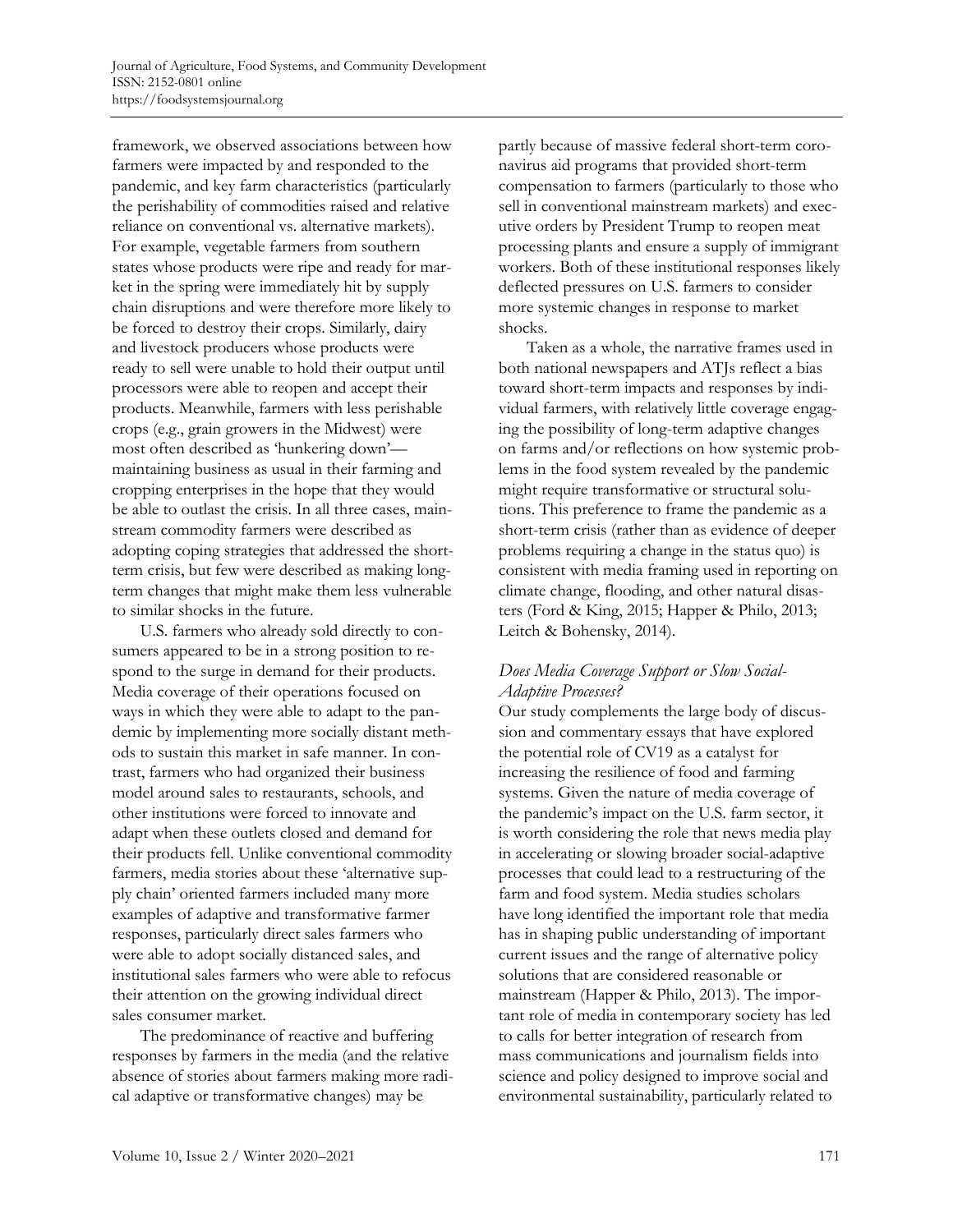framework, we observed associations between how farmers were impacted by and responded to the pandemic, and key farm characteristics (particularly the perishability of commodities raised and relative reliance on conventional vs. alternative markets). For example, vegetable farmers from southern states whose products were ripe and ready for market in the spring were immediately hit by supply chain disruptions and were therefore more likely to be forced to destroy their crops. Similarly, dairy and livestock producers whose products were ready to sell were unable to hold their output until processors were able to reopen and accept their products. Meanwhile, farmers with less perishable crops (e.g., grain growers in the Midwest) were most often described as 'hunkering down' maintaining business as usual in their farming and cropping enterprises in the hope that they would be able to outlast the crisis. In all three cases, mainstream commodity farmers were described as adopting coping strategies that addressed the shortterm crisis, but few were described as making longterm changes that might make them less vulnerable to similar shocks in the future.

U.S. farmers who already sold directly to consumers appeared to be in a strong position to respond to the surge in demand for their products. Media coverage of their operations focused on ways in which they were able to adapt to the pandemic by implementing more socially distant methods to sustain this market in safe manner. In contrast, farmers who had organized their business model around sales to restaurants, schools, and other institutions were forced to innovate and adapt when these outlets closed and demand for their products fell. Unlike conventional commodity farmers, media stories about these 'alternative supply chain' oriented farmers included many more examples of adaptive and transformative farmer responses, particularly direct sales farmers who were able to adopt socially distanced sales, and institutional sales farmers who were able to refocus their attention on the growing individual direct sales consumer market.

The predominance of reactive and buffering responses by farmers in the media (and the relative absence of stories about farmers making more radical adaptive or transformative changes) may be

partly because of massive federal short-term coronavirus aid programs that provided short-term compensation to farmers (particularly to those who sell in conventional mainstream markets) and executive orders by President Trump to reopen meat processing plants and ensure a supply of immigrant workers. Both of these institutional responses likely deflected pressures on U.S. farmers to consider more systemic changes in response to market shocks.

Taken as a whole, the narrative frames used in both national newspapers and ATJs reflect a bias toward short-term impacts and responses by individual farmers, with relatively little coverage engaging the possibility of long-term adaptive changes on farms and/or reflections on how systemic problems in the food system revealed by the pandemic might require transformative or structural solutions. This preference to frame the pandemic as a short-term crisis (rather than as evidence of deeper problems requiring a change in the status quo) is consistent with media framing used in reporting on climate change, flooding, and other natural disasters (Ford & King, 2015; Happer & Philo, 2013; Leitch & Bohensky, 2014).

### *Does Media Coverage Support or Slow Social-Adaptive Processes?*

Our study complements the large body of discussion and commentary essays that have explored the potential role of CV19 as a catalyst for increasing the resilience of food and farming systems. Given the nature of media coverage of the pandemic's impact on the U.S. farm sector, it is worth considering the role that news media play in accelerating or slowing broader social-adaptive processes that could lead to a restructuring of the farm and food system. Media studies scholars have long identified the important role that media has in shaping public understanding of important current issues and the range of alternative policy solutions that are considered reasonable or mainstream (Happer & Philo, 2013). The important role of media in contemporary society has led to calls for better integration of research from mass communications and journalism fields into science and policy designed to improve social and environmental sustainability, particularly related to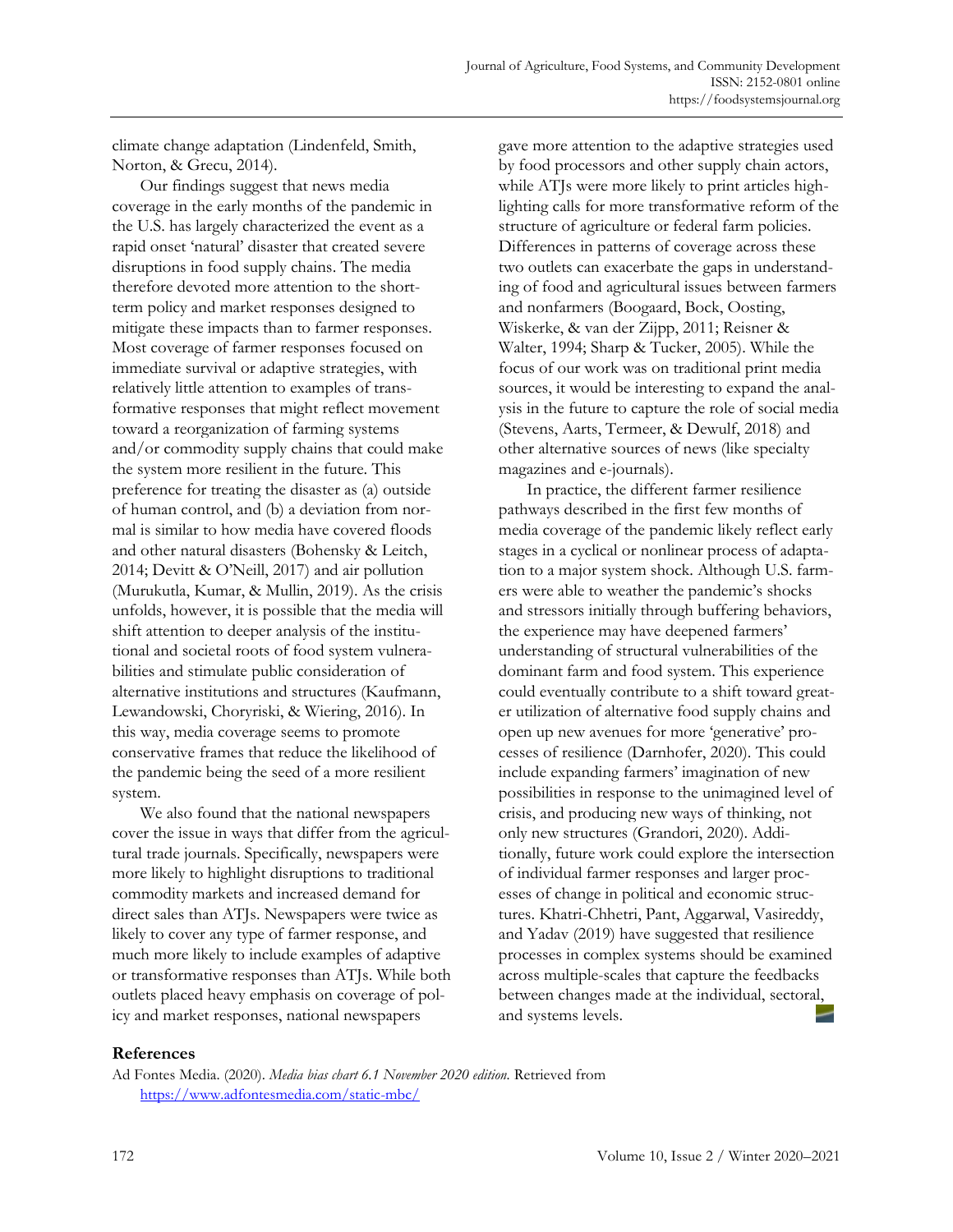climate change adaptation (Lindenfeld, Smith, Norton, & Grecu, 2014).

Our findings suggest that news media coverage in the early months of the pandemic in the U.S. has largely characterized the event as a rapid onset 'natural' disaster that created severe disruptions in food supply chains. The media therefore devoted more attention to the shortterm policy and market responses designed to mitigate these impacts than to farmer responses. Most coverage of farmer responses focused on immediate survival or adaptive strategies, with relatively little attention to examples of transformative responses that might reflect movement toward a reorganization of farming systems and/or commodity supply chains that could make the system more resilient in the future. This preference for treating the disaster as (a) outside of human control, and (b) a deviation from normal is similar to how media have covered floods and other natural disasters (Bohensky & Leitch, 2014; Devitt & O'Neill, 2017) and air pollution (Murukutla, Kumar, & Mullin, 2019). As the crisis unfolds, however, it is possible that the media will shift attention to deeper analysis of the institutional and societal roots of food system vulnerabilities and stimulate public consideration of alternative institutions and structures (Kaufmann, Lewandowski, Choryriski, & Wiering, 2016). In this way, media coverage seems to promote conservative frames that reduce the likelihood of the pandemic being the seed of a more resilient system.

We also found that the national newspapers cover the issue in ways that differ from the agricultural trade journals. Specifically, newspapers were more likely to highlight disruptions to traditional commodity markets and increased demand for direct sales than ATJs. Newspapers were twice as likely to cover any type of farmer response, and much more likely to include examples of adaptive or transformative responses than ATJs. While both outlets placed heavy emphasis on coverage of policy and market responses, national newspapers

gave more attention to the adaptive strategies used by food processors and other supply chain actors, while ATJs were more likely to print articles highlighting calls for more transformative reform of the structure of agriculture or federal farm policies. Differences in patterns of coverage across these two outlets can exacerbate the gaps in understanding of food and agricultural issues between farmers and nonfarmers (Boogaard, Bock, Oosting, Wiskerke, & van der Zijpp, 2011; Reisner & Walter, 1994; Sharp & Tucker, 2005). While the focus of our work was on traditional print media sources, it would be interesting to expand the analysis in the future to capture the role of social media (Stevens, Aarts, Termeer, & Dewulf, 2018) and other alternative sources of news (like specialty magazines and e-journals).

In practice, the different farmer resilience pathways described in the first few months of media coverage of the pandemic likely reflect early stages in a cyclical or nonlinear process of adaptation to a major system shock. Although U.S. farmers were able to weather the pandemic's shocks and stressors initially through buffering behaviors, the experience may have deepened farmers' understanding of structural vulnerabilities of the dominant farm and food system. This experience could eventually contribute to a shift toward greater utilization of alternative food supply chains and open up new avenues for more 'generative' processes of resilience (Darnhofer, 2020). This could include expanding farmers' imagination of new possibilities in response to the unimagined level of crisis, and producing new ways of thinking, not only new structures (Grandori, 2020). Additionally, future work could explore the intersection of individual farmer responses and larger processes of change in political and economic structures. Khatri-Chhetri, Pant, Aggarwal, Vasireddy, and Yadav (2019) have suggested that resilience processes in complex systems should be examined across multiple-scales that capture the feedbacks between changes made at the individual, sectoral, and systems levels.

#### **References**

Ad Fontes Media. (2020). *Media bias chart 6.1 November 2020 edition.* Retrieved from https://www.adfontesmedia.com/static-mbc/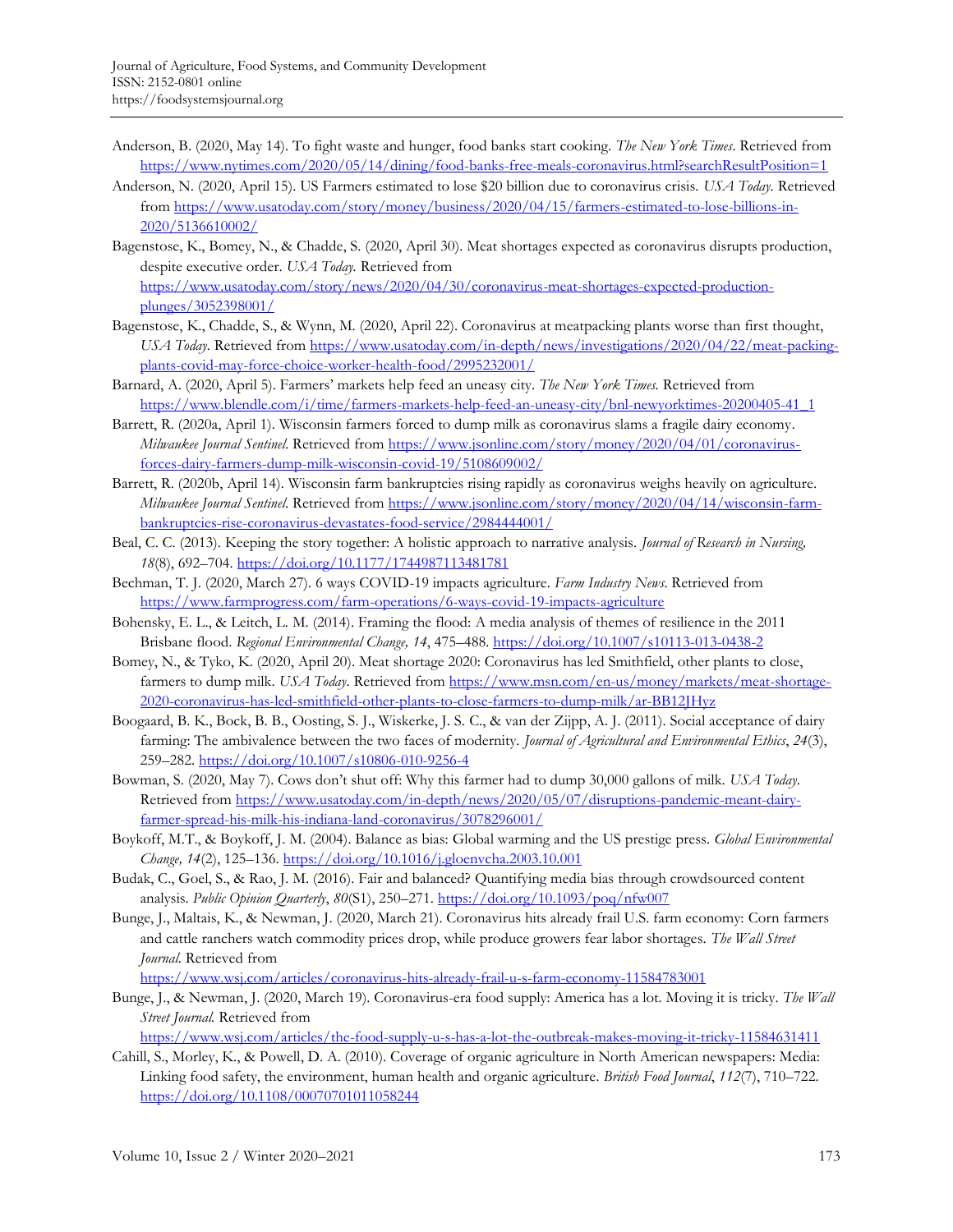- Anderson, B. (2020, May 14). To fight waste and hunger, food banks start cooking. *The New York Times*. Retrieved from https://www.nytimes.com/2020/05/14/dining/food-banks-free-meals-coronavirus.html?searchResultPosition=1
- Anderson, N. (2020, April 15). US Farmers estimated to lose \$20 billion due to coronavirus crisis. *USA Today.* Retrieved from https://www.usatoday.com/story/money/business/2020/04/15/farmers-estimated-to-lose-billions-in-2020/5136610002/
- Bagenstose, K., Bomey, N., & Chadde, S. (2020, April 30). Meat shortages expected as coronavirus disrupts production, despite executive order. *USA Today.* Retrieved from https://www.usatoday.com/story/news/2020/04/30/coronavirus-meat-shortages-expected-productionplunges/3052398001/
- Bagenstose, K., Chadde, S., & Wynn, M. (2020, April 22). Coronavirus at meatpacking plants worse than first thought, *USA Today.* Retrieved from https://www.usatoday.com/in-depth/news/investigations/2020/04/22/meat-packingplants-covid-may-force-choice-worker-health-food/2995232001/
- Barnard, A. (2020, April 5). Farmers' markets help feed an uneasy city. *The New York Times.* Retrieved from https://www.blendle.com/i/time/farmers-markets-help-feed-an-uneasy-city/bnl-newyorktimes-20200405-41\_1
- Barrett, R. (2020a, April 1). Wisconsin farmers forced to dump milk as coronavirus slams a fragile dairy economy. *Milwaukee Journal Sentinel*. Retrieved from https://www.jsonline.com/story/money/2020/04/01/coronavirusforces-dairy-farmers-dump-milk-wisconsin-covid-19/5108609002/
- Barrett, R. (2020b, April 14). Wisconsin farm bankruptcies rising rapidly as coronavirus weighs heavily on agriculture. *Milwaukee Journal Sentinel*. Retrieved from https://www.jsonline.com/story/money/2020/04/14/wisconsin-farmbankruptcies-rise-coronavirus-devastates-food-service/2984444001/
- Beal, C. C. (2013). Keeping the story together: A holistic approach to narrative analysis. *Journal of Research in Nursing, 18*(8), 692–704. https://doi.org/10.1177/1744987113481781
- Bechman, T. J. (2020, March 27). 6 ways COVID-19 impacts agriculture. *Farm Industry News*. Retrieved from https://www.farmprogress.com/farm-operations/6-ways-covid-19-impacts-agriculture
- Bohensky, E. L., & Leitch, L. M. (2014). Framing the flood: A media analysis of themes of resilience in the 2011 Brisbane flood. *Regional Environmental Change, 14*, 475–488. https://doi.org/10.1007/s10113-013-0438-2
- Bomey, N., & Tyko, K. (2020, April 20). Meat shortage 2020: Coronavirus has led Smithfield, other plants to close, farmers to dump milk. *USA Today*. Retrieved from https://www.msn.com/en-us/money/markets/meat-shortage-2020-coronavirus-has-led-smithfield-other-plants-to-close-farmers-to-dump-milk/ar-BB12JHyz
- Boogaard, B. K., Bock, B. B., Oosting, S. J., Wiskerke, J. S. C., & van der Zijpp, A. J. (2011). Social acceptance of dairy farming: The ambivalence between the two faces of modernity. *Journal of Agricultural and Environmental Ethics*, *24*(3), 259–282. https://doi.org/10.1007/s10806-010-9256-4
- Bowman, S. (2020, May 7). Cows don't shut off: Why this farmer had to dump 30,000 gallons of milk. *USA Today*. Retrieved from https://www.usatoday.com/in-depth/news/2020/05/07/disruptions-pandemic-meant-dairyfarmer-spread-his-milk-his-indiana-land-coronavirus/3078296001/
- Boykoff, M.T., & Boykoff, J. M. (2004). Balance as bias: Global warming and the US prestige press. *Global Environmental Change, 14*(2), 125–136. https://doi.org/10.1016/j.gloenvcha.2003.10.001
- Budak, C., Goel, S., & Rao, J. M. (2016). Fair and balanced? Quantifying media bias through crowdsourced content analysis. *Public Opinion Quarterly*, *80*(S1), 250–271. https://doi.org/10.1093/poq/nfw007
- Bunge, J., Maltais, K., & Newman, J. (2020, March 21). Coronavirus hits already frail U.S. farm economy: Corn farmers and cattle ranchers watch commodity prices drop, while produce growers fear labor shortages. *The Wall Street Journal.* Retrieved from

https://www.wsj.com/articles/coronavirus-hits-already-frail-u-s-farm-economy-11584783001

Bunge, J., & Newman, J. (2020, March 19). Coronavirus-era food supply: America has a lot. Moving it is tricky. *The Wall Street Journal.* Retrieved from

https://www.wsj.com/articles/the-food-supply-u-s-has-a-lot-the-outbreak-makes-moving-it-tricky-11584631411

Cahill, S., Morley, K., & Powell, D. A. (2010). Coverage of organic agriculture in North American newspapers: Media: Linking food safety, the environment, human health and organic agriculture*. British Food Journal*, *112*(7), 710–722. https://doi.org/10.1108/00070701011058244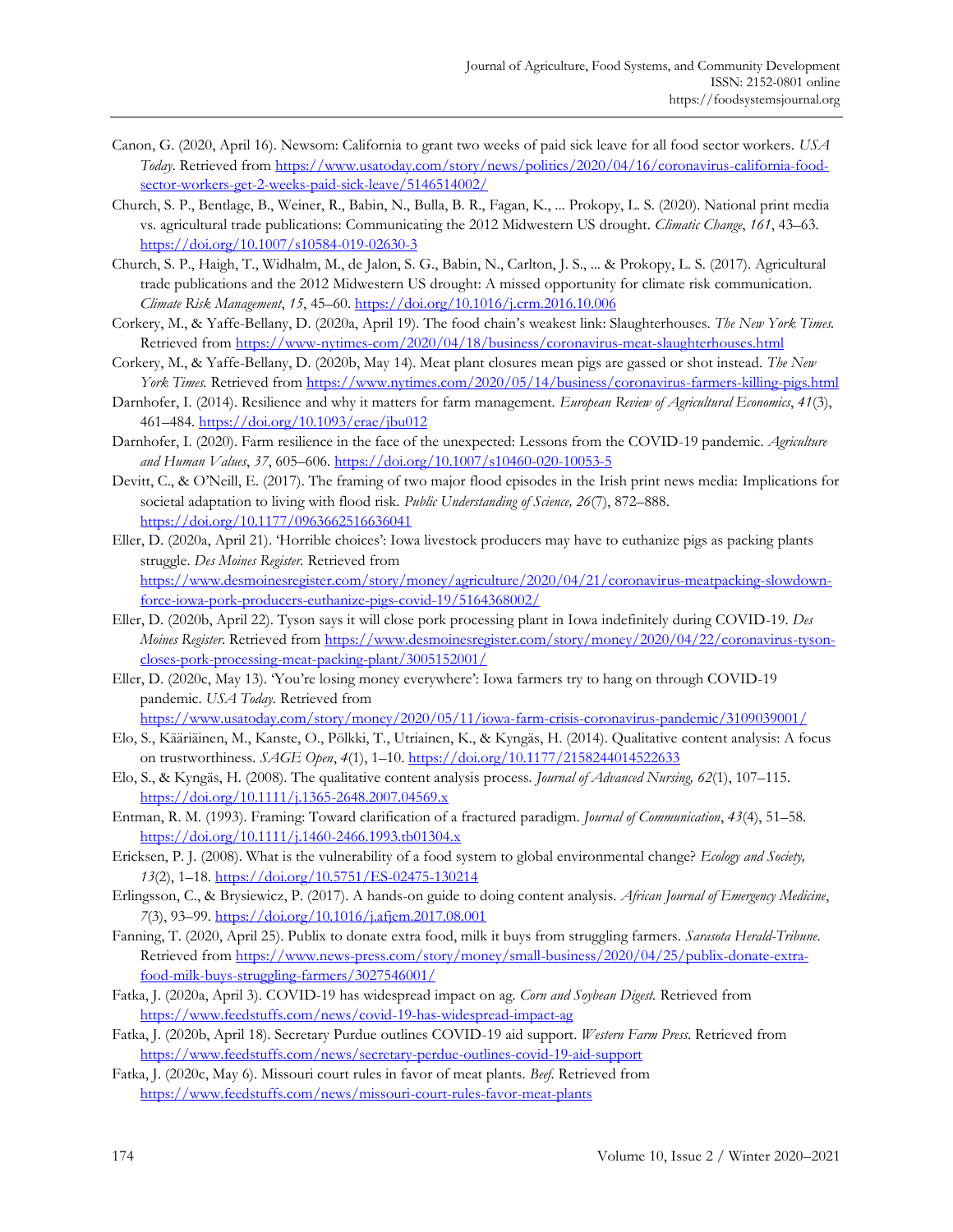- Canon, G. (2020, April 16). Newsom: California to grant two weeks of paid sick leave for all food sector workers. *USA Today*. Retrieved from https://www.usatoday.com/story/news/politics/2020/04/16/coronavirus-california-foodsector-workers-get-2-weeks-paid-sick-leave/5146514002/
- Church, S. P., Bentlage, B., Weiner, R., Babin, N., Bulla, B. R., Fagan, K., ... Prokopy, L. S. (2020). National print media vs. agricultural trade publications: Communicating the 2012 Midwestern US drought. *Climatic Change*, *161*, 43–63. https://doi.org/10.1007/s10584-019-02630-3
- Church, S. P., Haigh, T., Widhalm, M., de Jalon, S. G., Babin, N., Carlton, J. S., ... & Prokopy, L. S. (2017). Agricultural trade publications and the 2012 Midwestern US drought: A missed opportunity for climate risk communication. *Climate Risk Management*, *15*, 45–60. https://doi.org/10.1016/j.crm.2016.10.006
- Corkery, M., & Yaffe-Bellany, D. (2020a, April 19). The food chain's weakest link: Slaughterhouses. *The New York Times.* Retrieved from https://www-nytimes-com/2020/04/18/business/coronavirus-meat-slaughterhouses.html
- Corkery, M., & Yaffe-Bellany, D. (2020b, May 14). Meat plant closures mean pigs are gassed or shot instead. *The New York Times.* Retrieved from https://www.nytimes.com/2020/05/14/business/coronavirus-farmers-killing-pigs.html
- Darnhofer, I. (2014). Resilience and why it matters for farm management. *European Review of Agricultural Economics*, *41*(3), 461–484. https://doi.org/10.1093/erae/jbu012
- Darnhofer, I. (2020). Farm resilience in the face of the unexpected: Lessons from the COVID-19 pandemic. *Agriculture and Human Values*, *37*, 605–606. https://doi.org/10.1007/s10460-020-10053-5
- Devitt, C., & O'Neill, E. (2017). The framing of two major flood episodes in the Irish print news media: Implications for societal adaptation to living with flood risk. *Public Understanding of Science, 26*(7), 872–888. https://doi.org/10.1177/0963662516636041
- Eller, D. (2020a, April 21). 'Horrible choices': Iowa livestock producers may have to euthanize pigs as packing plants struggle. *Des Moines Register.* Retrieved from https://www.desmoinesregister.com/story/money/agriculture/2020/04/21/coronavirus-meatpacking-slowdownforce-iowa-pork-producers-euthanize-pigs-covid-19/5164368002/
- Eller, D. (2020b, April 22). Tyson says it will close pork processing plant in Iowa indefinitely during COVID-19. *Des Moines Register*. Retrieved from https://www.desmoinesregister.com/story/money/2020/04/22/coronavirus-tysoncloses-pork-processing-meat-packing-plant/3005152001/
- Eller, D. (2020c, May 13). 'You're losing money everywhere': Iowa farmers try to hang on through COVID-19 pandemic. *USA Today.* Retrieved from
- https://www.usatoday.com/story/money/2020/05/11/iowa-farm-crisis-coronavirus-pandemic/3109039001/
- Elo, S., Kääriäinen, M., Kanste, O., Pölkki, T., Utriainen, K., & Kyngäs, H. (2014). Qualitative content analysis: A focus on trustworthiness. *SAGE Open*, *4*(1), 1–10. https://doi.org/10.1177/2158244014522633
- Elo, S., & Kyngäs, H. (2008). The qualitative content analysis process. *Journal of Advanced Nursing, 62*(1), 107–115. https://doi.org/10.1111/j.1365-2648.2007.04569.x
- Entman, R. M. (1993). Framing: Toward clarification of a fractured paradigm. *Journal of Communication*, *43*(4), 51–58. https://doi.org/10.1111/j.1460-2466.1993.tb01304.x
- Ericksen, P. J. (2008). What is the vulnerability of a food system to global environmental change? *Ecology and Society, 13*(2), 1–18. https://doi.org/10.5751/ES-02475-130214
- Erlingsson, C., & Brysiewicz, P. (2017). A hands-on guide to doing content analysis. *African Journal of Emergency Medicine*, *7*(3), 93–99. https://doi.org/10.1016/j.afjem.2017.08.001
- Fanning, T. (2020, April 25). Publix to donate extra food, milk it buys from struggling farmers. *Sarasota Herald-Tribune.* Retrieved from https://www.news-press.com/story/money/small-business/2020/04/25/publix-donate-extrafood-milk-buys-struggling-farmers/3027546001/
- Fatka, J. (2020a, April 3). COVID-19 has widespread impact on ag. *Corn and Soybean Digest.* Retrieved from https://www.feedstuffs.com/news/covid-19-has-widespread-impact-ag
- Fatka, J. (2020b, April 18). Secretary Purdue outlines COVID-19 aid support. *Western Farm Press*. Retrieved from https://www.feedstuffs.com/news/secretary-perdue-outlines-covid-19-aid-support
- Fatka, J. (2020c, May 6). Missouri court rules in favor of meat plants. *Beef.* Retrieved from https://www.feedstuffs.com/news/missouri-court-rules-favor-meat-plants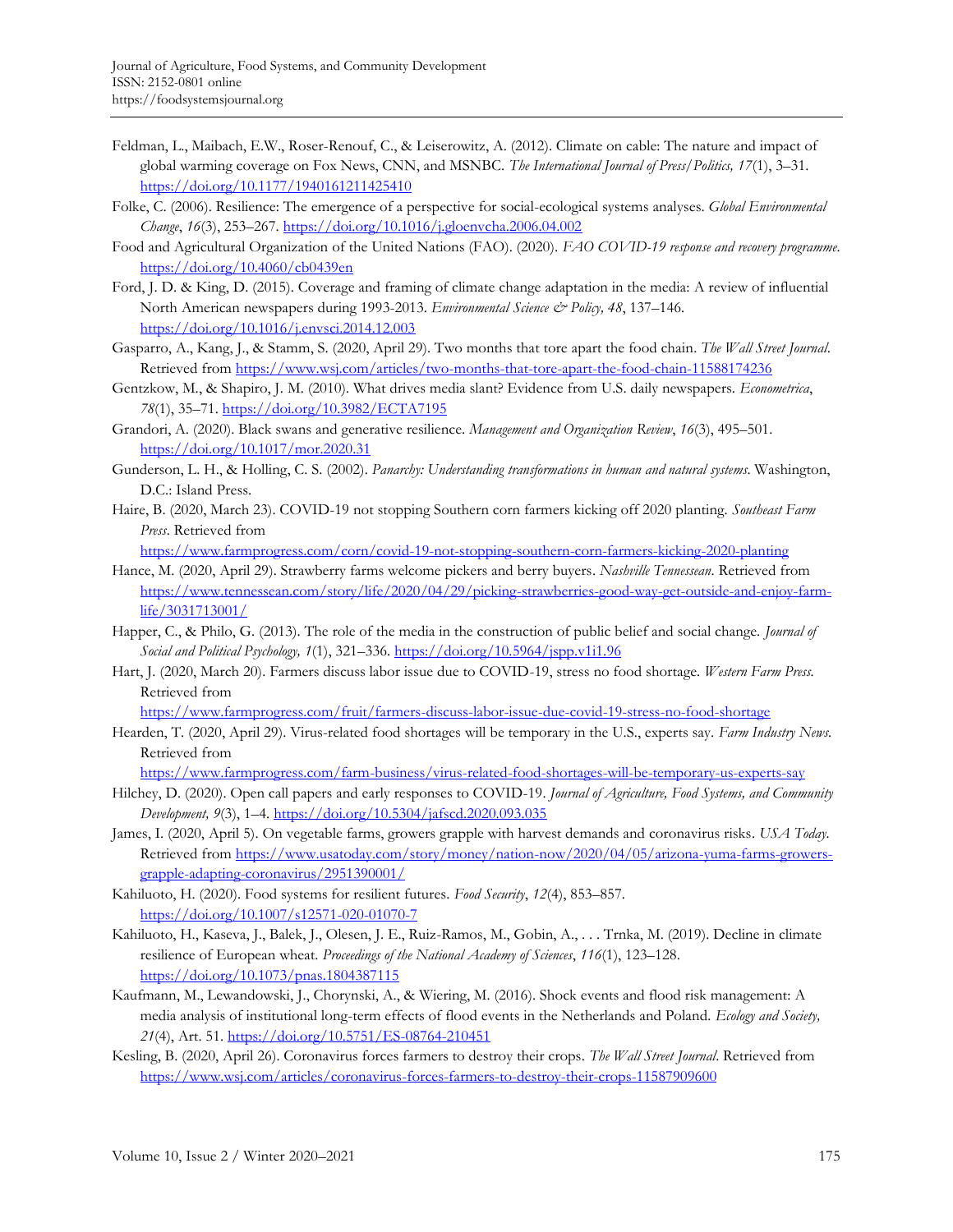- Feldman, L., Maibach, E.W., Roser-Renouf, C., & Leiserowitz, A. (2012). Climate on cable: The nature and impact of global warming coverage on Fox News, CNN, and MSNBC. *The International Journal of Press/Politics, 17*(1), 3–31. https://doi.org/10.1177/1940161211425410
- Folke, C. (2006). Resilience: The emergence of a perspective for social-ecological systems analyses. *Global Environmental Change*, *16*(3), 253–267. https://doi.org/10.1016/j.gloenvcha.2006.04.002
- Food and Agricultural Organization of the United Nations (FAO). (2020). *FAO COVID-19 response and recovery programme.*  https://doi.org/10.4060/cb0439en
- Ford, J. D. & King, D. (2015). Coverage and framing of climate change adaptation in the media: A review of influential North American newspapers during 1993-2013. *Environmental Science & Policy, 48*, 137–146. https://doi.org/10.1016/j.envsci.2014.12.003
- Gasparro, A., Kang, J., & Stamm, S. (2020, April 29). Two months that tore apart the food chain. *The Wall Street Journal*. Retrieved from https://www.wsj.com/articles/two-months-that-tore-apart-the-food-chain-11588174236
- Gentzkow, M., & Shapiro, J. M. (2010). What drives media slant? Evidence from U.S. daily newspapers. *Econometrica*, *78*(1), 35–71. https://doi.org/10.3982/ECTA7195
- Grandori, A. (2020). Black swans and generative resilience. *Management and Organization Review*, *16*(3), 495–501. https://doi.org/10.1017/mor.2020.31
- Gunderson, L. H., & Holling, C. S. (2002). *Panarchy: Understanding transformations in human and natural systems*. Washington, D.C.: Island Press.
- Haire, B. (2020, March 23). COVID-19 not stopping Southern corn farmers kicking off 2020 planting. *Southeast Farm Press*. Retrieved from

https://www.farmprogress.com/corn/covid-19-not-stopping-southern-corn-farmers-kicking-2020-planting

- Hance, M. (2020, April 29). Strawberry farms welcome pickers and berry buyers. *Nashville Tennessean*. Retrieved from https://www.tennessean.com/story/life/2020/04/29/picking-strawberries-good-way-get-outside-and-enjoy-farmlife/3031713001/
- Happer, C., & Philo, G. (2013). The role of the media in the construction of public belief and social change. *Journal of Social and Political Psychology, 1*(1), 321–336. https://doi.org/10.5964/jspp.v1i1.96
- Hart, J. (2020, March 20). Farmers discuss labor issue due to COVID-19, stress no food shortage. *Western Farm Press.* Retrieved from

https://www.farmprogress.com/fruit/farmers-discuss-labor-issue-due-covid-19-stress-no-food-shortage

- Hearden, T. (2020, April 29). Virus-related food shortages will be temporary in the U.S., experts say. *Farm Industry News.* Retrieved from
	- https://www.farmprogress.com/farm-business/virus-related-food-shortages-will-be-temporary-us-experts-say
- Hilchey, D. (2020). Open call papers and early responses to COVID-19. *Journal of Agriculture, Food Systems, and Community Development, 9*(3), 1–4. https://doi.org/10.5304/jafscd.2020.093.035
- James, I. (2020, April 5). On vegetable farms, growers grapple with harvest demands and coronavirus risks. *USA Today.* Retrieved from https://www.usatoday.com/story/money/nation-now/2020/04/05/arizona-yuma-farms-growersgrapple-adapting-coronavirus/2951390001/
- Kahiluoto, H. (2020). Food systems for resilient futures. *Food Security*, *12*(4), 853–857. https://doi.org/10.1007/s12571-020-01070-7
- Kahiluoto, H., Kaseva, J., Balek, J., Olesen, J. E., Ruiz-Ramos, M., Gobin, A., . . . Trnka, M. (2019). Decline in climate resilience of European wheat. *Proceedings of the National Academy of Sciences*, *116*(1), 123–128. https://doi.org/10.1073/pnas.1804387115
- Kaufmann, M., Lewandowski, J., Chorynski, A., & Wiering, M. (2016). Shock events and flood risk management: A media analysis of institutional long-term effects of flood events in the Netherlands and Poland. *Ecology and Society, 21*(4), Art. 51. https://doi.org/10.5751/ES-08764-210451
- Kesling, B. (2020, April 26). Coronavirus forces farmers to destroy their crops. *The Wall Street Journal*. Retrieved from https://www.wsj.com/articles/coronavirus-forces-farmers-to-destroy-their-crops-11587909600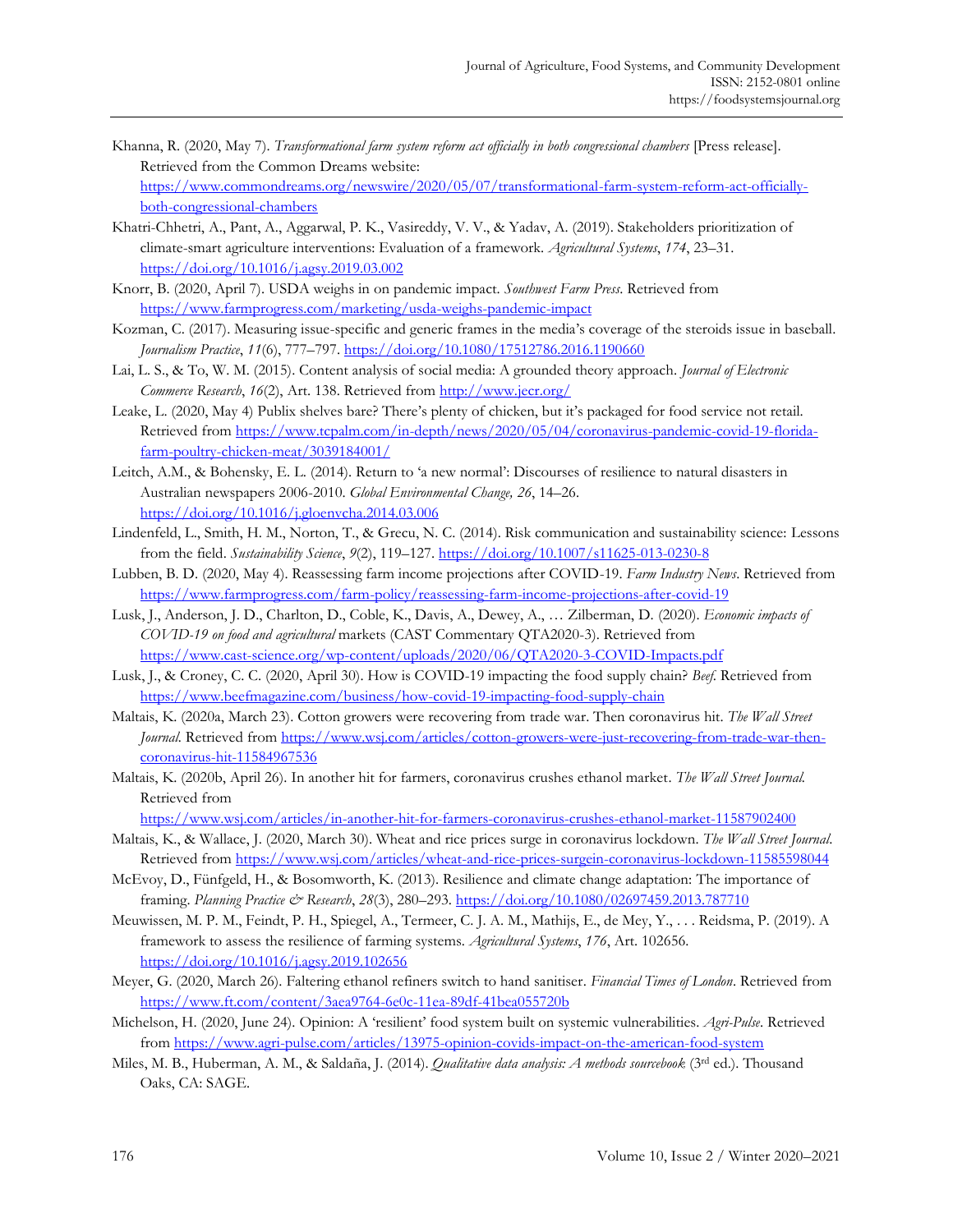- Khanna, R. (2020, May 7). *Transformational farm system reform act officially in both congressional chambers* [Press release]. Retrieved from the Common Dreams website: https://www.commondreams.org/newswire/2020/05/07/transformational-farm-system-reform-act-officiallyboth-congressional-chambers
- Khatri-Chhetri, A., Pant, A., Aggarwal, P. K., Vasireddy, V. V., & Yadav, A. (2019). Stakeholders prioritization of climate-smart agriculture interventions: Evaluation of a framework. *Agricultural Systems*, *174*, 23–31. https://doi.org/10.1016/j.agsy.2019.03.002
- Knorr, B. (2020, April 7). USDA weighs in on pandemic impact. *Southwest Farm Press*. Retrieved from https://www.farmprogress.com/marketing/usda-weighs-pandemic-impact
- Kozman, C. (2017). Measuring issue-specific and generic frames in the media's coverage of the steroids issue in baseball. *Journalism Practice*, *11*(6), 777–797. https://doi.org/10.1080/17512786.2016.1190660
- Lai, L. S., & To, W. M. (2015). Content analysis of social media: A grounded theory approach. *Journal of Electronic Commerce Research*, *16*(2), Art. 138. Retrieved from http://www.jecr.org/
- Leake, L. (2020, May 4) Publix shelves bare? There's plenty of chicken, but it's packaged for food service not retail. Retrieved from https://www.tcpalm.com/in-depth/news/2020/05/04/coronavirus-pandemic-covid-19-floridafarm-poultry-chicken-meat/3039184001/
- Leitch, A.M., & Bohensky, E. L. (2014). Return to 'a new normal': Discourses of resilience to natural disasters in Australian newspapers 2006-2010. *Global Environmental Change, 26*, 14–26. https://doi.org/10.1016/j.gloenvcha.2014.03.006
- Lindenfeld, L., Smith, H. M., Norton, T., & Grecu, N. C. (2014). Risk communication and sustainability science: Lessons from the field. *Sustainability Science*, *9*(2), 119–127. https://doi.org/10.1007/s11625-013-0230-8
- Lubben, B. D. (2020, May 4). Reassessing farm income projections after COVID-19. *Farm Industry News*. Retrieved from https://www.farmprogress.com/farm-policy/reassessing-farm-income-projections-after-covid-19
- Lusk, J., Anderson, J. D., Charlton, D., Coble, K., Davis, A., Dewey, A., … Zilberman, D. (2020). *Economic impacts of COVID-19 on food and agricultural* markets (CAST Commentary QTA2020-3). Retrieved from https://www.cast-science.org/wp-content/uploads/2020/06/QTA2020-3-COVID-Impacts.pdf
- Lusk, J., & Croney, C. C. (2020, April 30). How is COVID-19 impacting the food supply chain? *Beef*. Retrieved from https://www.beefmagazine.com/business/how-covid-19-impacting-food-supply-chain
- Maltais, K. (2020a, March 23). Cotton growers were recovering from trade war. Then coronavirus hit. *The Wall Street Journal.* Retrieved from https://www.wsj.com/articles/cotton-growers-were-just-recovering-from-trade-war-thencoronavirus-hit-11584967536
- Maltais, K. (2020b, April 26). In another hit for farmers, coronavirus crushes ethanol market. *The Wall Street Journal.*  Retrieved from
- https://www.wsj.com/articles/in-another-hit-for-farmers-coronavirus-crushes-ethanol-market-11587902400
- Maltais, K., & Wallace, J. (2020, March 30). Wheat and rice prices surge in coronavirus lockdown. *The Wall Street Journal*. Retrieved from https://www.wsj.com/articles/wheat-and-rice-prices-surgein-coronavirus-lockdown-11585598044
- McEvoy, D., Fünfgeld, H., & Bosomworth, K. (2013). Resilience and climate change adaptation: The importance of framing. *Planning Practice & Research*, *28*(3), 280–293. https://doi.org/10.1080/02697459.2013.787710
- Meuwissen, M. P. M., Feindt, P. H., Spiegel, A., Termeer, C. J. A. M., Mathijs, E., de Mey, Y., . . . Reidsma, P. (2019). A framework to assess the resilience of farming systems. *Agricultural Systems*, *176*, Art. 102656. https://doi.org/10.1016/j.agsy.2019.102656
- Meyer, G. (2020, March 26). Faltering ethanol refiners switch to hand sanitiser. *Financial Times of London*. Retrieved from https://www.ft.com/content/3aea9764-6e0c-11ea-89df-41bea055720b
- Michelson, H. (2020, June 24). Opinion: A 'resilient' food system built on systemic vulnerabilities. *Agri-Pulse*. Retrieved from https://www.agri-pulse.com/articles/13975-opinion-covids-impact-on-the-american-food-system
- Miles, M. B., Huberman, A. M., & Saldaña, J. (2014). *Qualitative data analysis: A methods sourcebook* (3rd ed.). Thousand Oaks, CA: SAGE.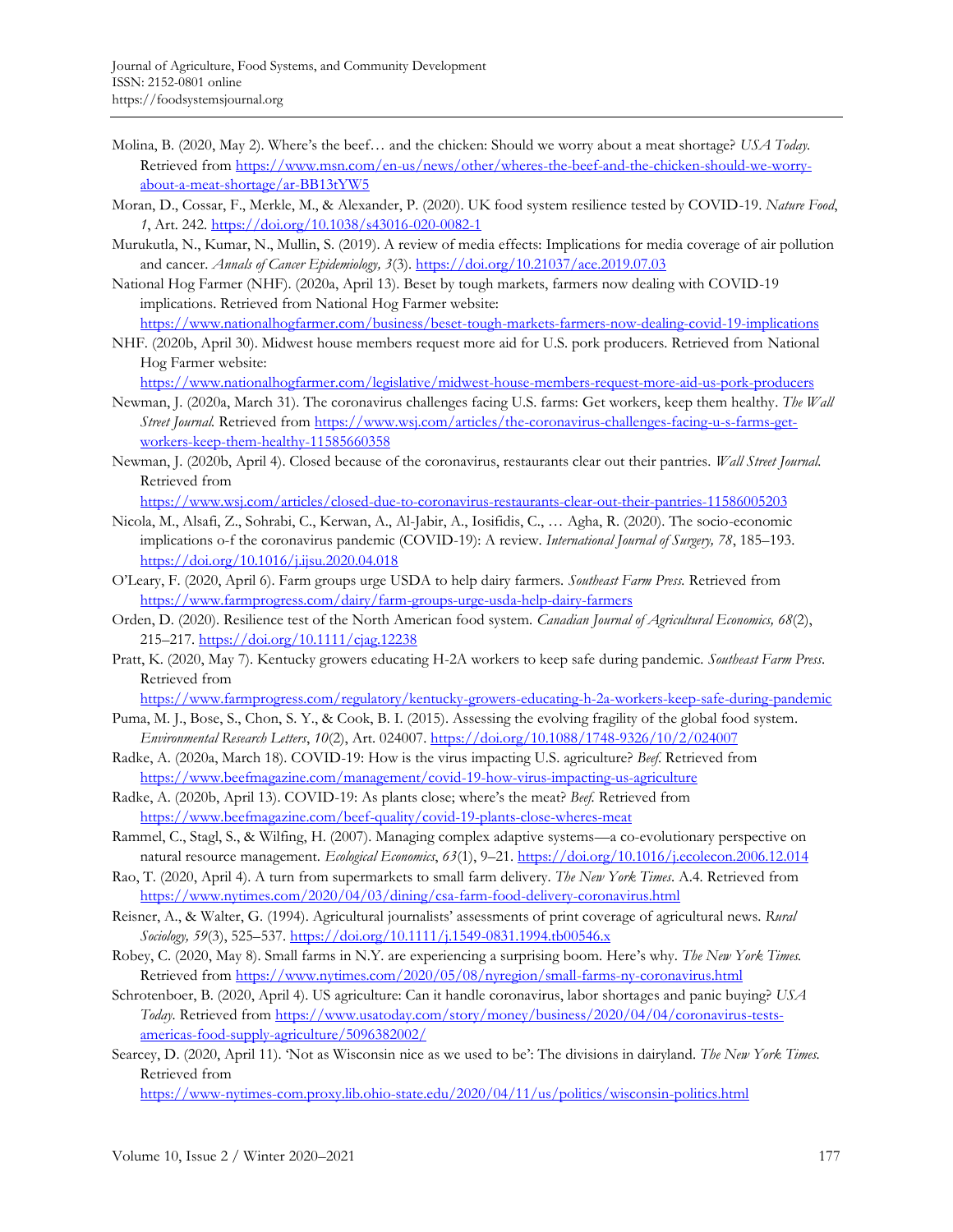- Molina, B. (2020, May 2). Where's the beef… and the chicken: Should we worry about a meat shortage? *USA Today.* Retrieved from https://www.msn.com/en-us/news/other/wheres-the-beef-and-the-chicken-should-we-worryabout-a-meat-shortage/ar-BB13tYW5
- Moran, D., Cossar, F., Merkle, M., & Alexander, P. (2020). UK food system resilience tested by COVID-19. *Nature Food*, *1*, Art. 242. https://doi.org/10.1038/s43016-020-0082-1
- Murukutla, N., Kumar, N., Mullin, S. (2019). A review of media effects: Implications for media coverage of air pollution and cancer. *Annals of Cancer Epidemiology, 3*(3). https://doi.org/10.21037/ace.2019.07.03
- National Hog Farmer (NHF). (2020a, April 13). Beset by tough markets, farmers now dealing with COVID-19 implications. Retrieved from National Hog Farmer website:
- https://www.nationalhogfarmer.com/business/beset-tough-markets-farmers-now-dealing-covid-19-implications NHF. (2020b, April 30). Midwest house members request more aid for U.S. pork producers. Retrieved from National Hog Farmer website:

https://www.nationalhogfarmer.com/legislative/midwest-house-members-request-more-aid-us-pork-producers

- Newman, J. (2020a, March 31). The coronavirus challenges facing U.S. farms: Get workers, keep them healthy. *The Wall Street Journal.* Retrieved from https://www.wsj.com/articles/the-coronavirus-challenges-facing-u-s-farms-getworkers-keep-them-healthy-11585660358
- Newman, J. (2020b, April 4). Closed because of the coronavirus, restaurants clear out their pantries. *Wall Street Journal.* Retrieved from

https://www.wsj.com/articles/closed-due-to-coronavirus-restaurants-clear-out-their-pantries-11586005203

- Nicola, M., Alsafi, Z., Sohrabi, C., Kerwan, A., Al-Jabir, A., Iosifidis, C., … Agha, R. (2020). The socio-economic implications o-f the coronavirus pandemic (COVID-19): A review. *International Journal of Surgery, 78*, 185–193. https://doi.org/10.1016/j.ijsu.2020.04.018
- O'Leary, F. (2020, April 6). Farm groups urge USDA to help dairy farmers. *Southeast Farm Press.* Retrieved from https://www.farmprogress.com/dairy/farm-groups-urge-usda-help-dairy-farmers
- Orden, D. (2020). Resilience test of the North American food system. *Canadian Journal of Agricultural Economics, 68*(2), 215–217. https://doi.org/10.1111/cjag.12238
- Pratt, K. (2020, May 7). Kentucky growers educating H-2A workers to keep safe during pandemic. *Southeast Farm Press*. Retrieved from

https://www.farmprogress.com/regulatory/kentucky-growers-educating-h-2a-workers-keep-safe-during-pandemic

- Puma, M. J., Bose, S., Chon, S. Y., & Cook, B. I. (2015). Assessing the evolving fragility of the global food system. *Environmental Research Letters*, *10*(2), Art. 024007. https://doi.org/10.1088/1748-9326/10/2/024007
- Radke, A. (2020a, March 18). COVID-19: How is the virus impacting U.S. agriculture? *Beef*. Retrieved from https://www.beefmagazine.com/management/covid-19-how-virus-impacting-us-agriculture
- Radke, A. (2020b, April 13). COVID-19: As plants close; where's the meat? *Beef.* Retrieved from https://www.beefmagazine.com/beef-quality/covid-19-plants-close-wheres-meat
- Rammel, C., Stagl, S., & Wilfing, H. (2007). Managing complex adaptive systems—a co-evolutionary perspective on natural resource management. *Ecological Economics*, *63*(1), 9–21. https://doi.org/10.1016/j.ecolecon.2006.12.014
- Rao, T. (2020, April 4). A turn from supermarkets to small farm delivery. *The New York Times*. A.4. Retrieved from https://www.nytimes.com/2020/04/03/dining/csa-farm-food-delivery-coronavirus.html
- Reisner, A., & Walter, G. (1994). Agricultural journalists' assessments of print coverage of agricultural news. *Rural Sociology, 59*(3), 525–537. https://doi.org/10.1111/j.1549-0831.1994.tb00546.x
- Robey, C. (2020, May 8). Small farms in N.Y. are experiencing a surprising boom. Here's why. *The New York Times.* Retrieved from https://www.nytimes.com/2020/05/08/nyregion/small-farms-ny-coronavirus.html
- Schrotenboer, B. (2020, April 4). US agriculture: Can it handle coronavirus, labor shortages and panic buying? *USA Today.* Retrieved from https://www.usatoday.com/story/money/business/2020/04/04/coronavirus-testsamericas-food-supply-agriculture/5096382002/
- Searcey, D. (2020, April 11). 'Not as Wisconsin nice as we used to be': The divisions in dairyland. *The New York Times.*  Retrieved from

https://www-nytimes-com.proxy.lib.ohio-state.edu/2020/04/11/us/politics/wisconsin-politics.html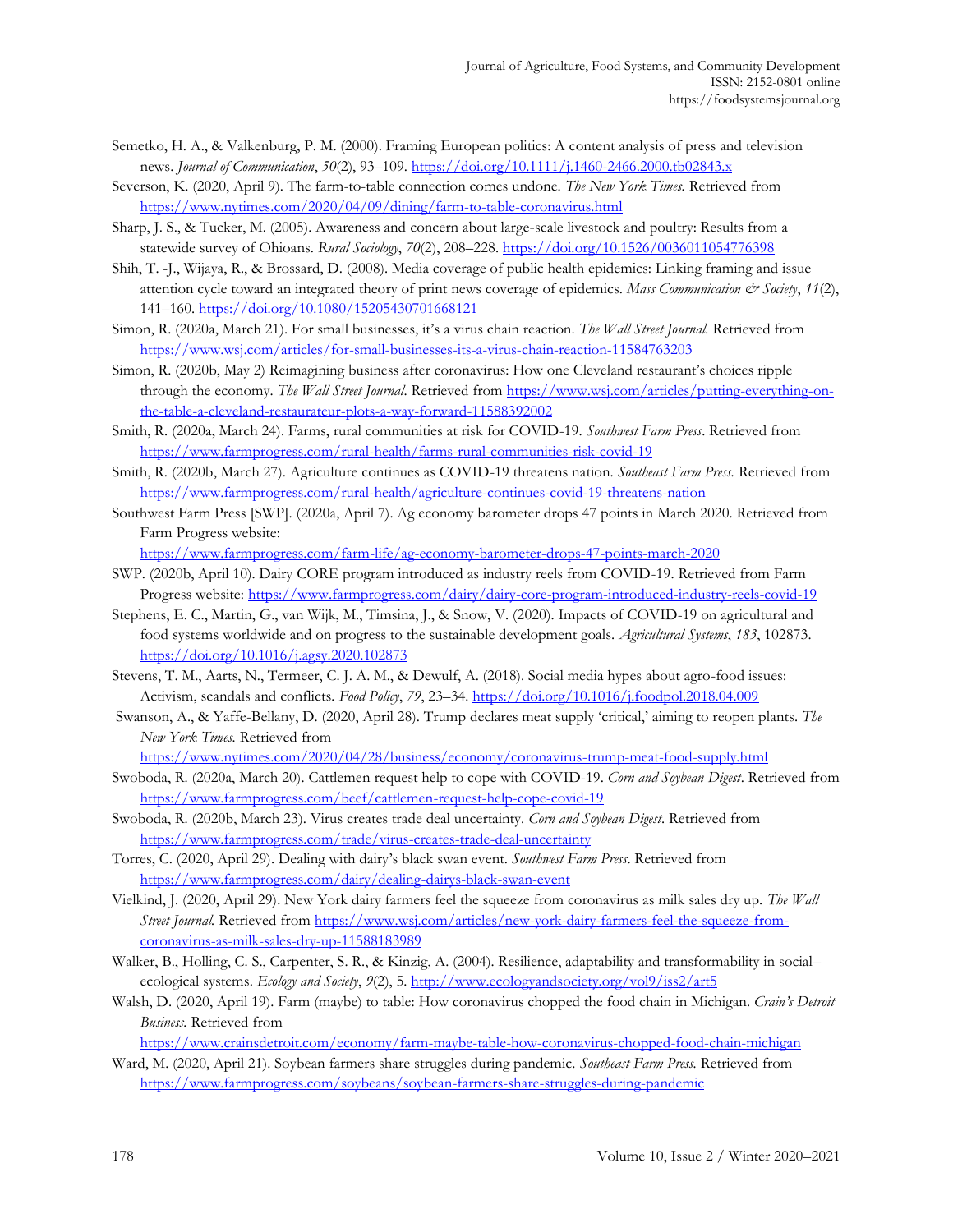- Semetko, H. A., & Valkenburg, P. M. (2000). Framing European politics: A content analysis of press and television news. *Journal of Communication*, *50*(2), 93–109. https://doi.org/10.1111/j.1460-2466.2000.tb02843.x
- Severson, K. (2020, April 9). The farm-to-table connection comes undone. *The New York Times.* Retrieved from https://www.nytimes.com/2020/04/09/dining/farm-to-table-coronavirus.html
- Sharp, J. S., & Tucker, M. (2005). Awareness and concern about large‐scale livestock and poultry: Results from a statewide survey of Ohioans. *Rural Sociology*, *70*(2), 208–228. https://doi.org/10.1526/0036011054776398
- Shih, T. -J., Wijaya, R., & Brossard, D. (2008). Media coverage of public health epidemics: Linking framing and issue attention cycle toward an integrated theory of print news coverage of epidemics. *Mass Communication & Society*, *11*(2), 141–160. https://doi.org/10.1080/15205430701668121
- Simon, R. (2020a, March 21). For small businesses, it's a virus chain reaction. *The Wall Street Journal.* Retrieved from https://www.wsj.com/articles/for-small-businesses-its-a-virus-chain-reaction-11584763203
- Simon, R. (2020b, May 2) Reimagining business after coronavirus: How one Cleveland restaurant's choices ripple through the economy. *The Wall Street Journal*. Retrieved from https://www.wsj.com/articles/putting-everything-onthe-table-a-cleveland-restaurateur-plots-a-way-forward-11588392002
- Smith, R. (2020a, March 24). Farms, rural communities at risk for COVID-19. *Southwest Farm Press*. Retrieved from https://www.farmprogress.com/rural-health/farms-rural-communities-risk-covid-19
- Smith, R. (2020b, March 27). Agriculture continues as COVID-19 threatens nation. *Southeast Farm Press.* Retrieved from https://www.farmprogress.com/rural-health/agriculture-continues-covid-19-threatens-nation
- Southwest Farm Press [SWP]. (2020a, April 7). Ag economy barometer drops 47 points in March 2020. Retrieved from Farm Progress website:

https://www.farmprogress.com/farm-life/ag-economy-barometer-drops-47-points-march-2020

- SWP. (2020b, April 10). Dairy CORE program introduced as industry reels from COVID-19. Retrieved from Farm Progress website: https://www.farmprogress.com/dairy/dairy-core-program-introduced-industry-reels-covid-19
- Stephens, E. C., Martin, G., van Wijk, M., Timsina, J., & Snow, V. (2020). Impacts of COVID-19 on agricultural and food systems worldwide and on progress to the sustainable development goals. *Agricultural Systems*, *183*, 102873. https://doi.org/10.1016/j.agsy.2020.102873
- Stevens, T. M., Aarts, N., Termeer, C. J. A. M., & Dewulf, A. (2018). Social media hypes about agro-food issues: Activism, scandals and conflicts*. Food Policy*, *79*, 23–34. https://doi.org/10.1016/j.foodpol.2018.04.009
- Swanson, A., & Yaffe-Bellany, D. (2020, April 28). Trump declares meat supply 'critical,' aiming to reopen plants. *The New York Times.* Retrieved from

https://www.nytimes.com/2020/04/28/business/economy/coronavirus-trump-meat-food-supply.html

- Swoboda, R. (2020a, March 20). Cattlemen request help to cope with COVID-19. *Corn and Soybean Digest*. Retrieved from https://www.farmprogress.com/beef/cattlemen-request-help-cope-covid-19
- Swoboda, R. (2020b, March 23). Virus creates trade deal uncertainty. *Corn and Soybean Digest*. Retrieved from https://www.farmprogress.com/trade/virus-creates-trade-deal-uncertainty
- Torres, C. (2020, April 29). Dealing with dairy's black swan event. *Southwest Farm Press*. Retrieved from https://www.farmprogress.com/dairy/dealing-dairys-black-swan-event
- Vielkind, J. (2020, April 29). New York dairy farmers feel the squeeze from coronavirus as milk sales dry up. *The Wall Street Journal.* Retrieved from https://www.wsj.com/articles/new-york-dairy-farmers-feel-the-squeeze-fromcoronavirus-as-milk-sales-dry-up-11588183989
- Walker, B., Holling, C. S., Carpenter, S. R., & Kinzig, A. (2004). Resilience, adaptability and transformability in social– ecological systems. *Ecology and Society*, *9*(2), 5. http://www.ecologyandsociety.org/vol9/iss2/art5
- Walsh, D. (2020, April 19). Farm (maybe) to table: How coronavirus chopped the food chain in Michigan. *Crain's Detroit Business.* Retrieved from

https://www.crainsdetroit.com/economy/farm-maybe-table-how-coronavirus-chopped-food-chain-michigan

Ward, M. (2020, April 21). Soybean farmers share struggles during pandemic. *Southeast Farm Press.* Retrieved from https://www.farmprogress.com/soybeans/soybean-farmers-share-struggles-during-pandemic